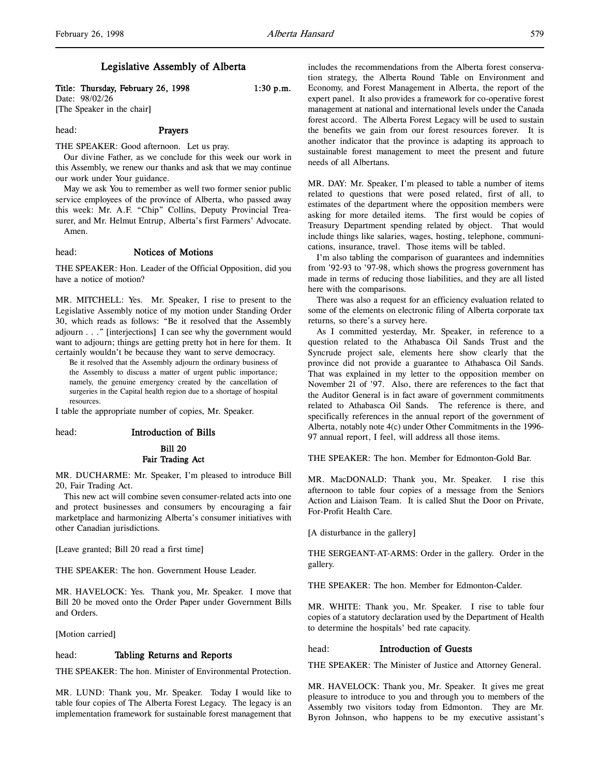### Legislative Assembly of Alberta

Title: Thursday, February 26, 1998 1:30 p.m.

Date: 98/02/26 [The Speaker in the chair]

### head: Prayers

THE SPEAKER: Good afternoon. Let us pray.

Our divine Father, as we conclude for this week our work in this Assembly, we renew our thanks and ask that we may continue our work under Your guidance.

May we ask You to remember as well two former senior public service employees of the province of Alberta, who passed away this week: Mr. A.F. "Chip" Collins, Deputy Provincial Treasurer, and Mr. Helmut Entrup, Alberta's first Farmers' Advocate. Amen.

### head: Notices of Motions

THE SPEAKER: Hon. Leader of the Official Opposition, did you have a notice of motion?

MR. MITCHELL: Yes. Mr. Speaker, I rise to present to the Legislative Assembly notice of my motion under Standing Order 30, which reads as follows: "Be it resolved that the Assembly adjourn . . ." [interjections] I can see why the government would want to adjourn; things are getting pretty hot in here for them. It certainly wouldn't be because they want to serve democracy.

Be it resolved that the Assembly adjourn the ordinary business of the Assembly to discuss a matter of urgent public importance; namely, the genuine emergency created by the cancellation of surgeries in the Capital health region due to a shortage of hospital resources.

I table the appropriate number of copies, Mr. Speaker.

### head: Introduction of Bills

## Bill 20

### Fair Trading Act

MR. DUCHARME: Mr. Speaker, I'm pleased to introduce Bill 20, Fair Trading Act.

This new act will combine seven consumer-related acts into one and protect businesses and consumers by encouraging a fair marketplace and harmonizing Alberta's consumer initiatives with other Canadian jurisdictions.

[Leave granted; Bill 20 read a first time]

THE SPEAKER: The hon. Government House Leader.

MR. HAVELOCK: Yes. Thank you, Mr. Speaker. I move that Bill 20 be moved onto the Order Paper under Government Bills and Orders.

[Motion carried]

### head: Tabling Returns and Reports

THE SPEAKER: The hon. Minister of Environmental Protection.

MR. LUND: Thank you, Mr. Speaker. Today I would like to table four copies of The Alberta Forest Legacy. The legacy is an implementation framework for sustainable forest management that

includes the recommendations from the Alberta forest conservation strategy, the Alberta Round Table on Environment and Economy, and Forest Management in Alberta, the report of the expert panel. It also provides a framework for co-operative forest management at national and international levels under the Canada forest accord. The Alberta Forest Legacy will be used to sustain the benefits we gain from our forest resources forever. It is another indicator that the province is adapting its approach to sustainable forest management to meet the present and future needs of all Albertans.

MR. DAY: Mr. Speaker, I'm pleased to table a number of items related to questions that were posed related, first of all, to estimates of the department where the opposition members were asking for more detailed items. The first would be copies of Treasury Department spending related by object. That would include things like salaries, wages, hosting, telephone, communications, insurance, travel. Those items will be tabled.

I'm also tabling the comparison of guarantees and indemnities from '92-93 to '97-98, which shows the progress government has made in terms of reducing those liabilities, and they are all listed here with the comparisons.

There was also a request for an efficiency evaluation related to some of the elements on electronic filing of Alberta corporate tax returns, so there's a survey here.

As I committed yesterday, Mr. Speaker, in reference to a question related to the Athabasca Oil Sands Trust and the Syncrude project sale, elements here show clearly that the province did not provide a guarantee to Athabasca Oil Sands. That was explained in my letter to the opposition member on November 21 of '97. Also, there are references to the fact that the Auditor General is in fact aware of government commitments related to Athabasca Oil Sands. The reference is there, and specifically references in the annual report of the government of Alberta, notably note 4(c) under Other Commitments in the 1996- 97 annual report, I feel, will address all those items.

THE SPEAKER: The hon. Member for Edmonton-Gold Bar.

MR. MacDONALD: Thank you, Mr. Speaker. I rise this afternoon to table four copies of a message from the Seniors Action and Liaison Team. It is called Shut the Door on Private, For-Profit Health Care.

[A disturbance in the gallery]

THE SERGEANT-AT-ARMS: Order in the gallery. Order in the gallery.

THE SPEAKER: The hon. Member for Edmonton-Calder.

MR. WHITE: Thank you, Mr. Speaker. I rise to table four copies of a statutory declaration used by the Department of Health to determine the hospitals' bed rate capacity.

#### head: Introduction of Guests

THE SPEAKER: The Minister of Justice and Attorney General.

MR. HAVELOCK: Thank you, Mr. Speaker. It gives me great pleasure to introduce to you and through you to members of the Assembly two visitors today from Edmonton. They are Mr. Byron Johnson, who happens to be my executive assistant's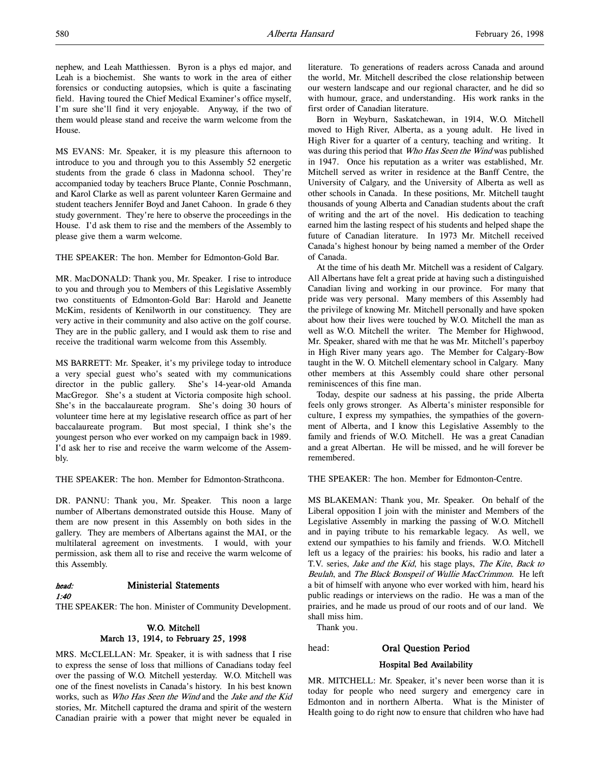nephew, and Leah Matthiessen. Byron is a phys ed major, and Leah is a biochemist. She wants to work in the area of either forensics or conducting autopsies, which is quite a fascinating field. Having toured the Chief Medical Examiner's office myself, I'm sure she'll find it very enjoyable. Anyway, if the two of them would please stand and receive the warm welcome from the House.

MS EVANS: Mr. Speaker, it is my pleasure this afternoon to introduce to you and through you to this Assembly 52 energetic students from the grade 6 class in Madonna school. They're accompanied today by teachers Bruce Plante, Connie Poschmann, and Karol Clarke as well as parent volunteer Karen Germaine and student teachers Jennifer Boyd and Janet Cahoon. In grade 6 they study government. They're here to observe the proceedings in the House. I'd ask them to rise and the members of the Assembly to please give them a warm welcome.

THE SPEAKER: The hon. Member for Edmonton-Gold Bar.

MR. MacDONALD: Thank you, Mr. Speaker. I rise to introduce to you and through you to Members of this Legislative Assembly two constituents of Edmonton-Gold Bar: Harold and Jeanette McKim, residents of Kenilworth in our constituency. They are very active in their community and also active on the golf course. They are in the public gallery, and I would ask them to rise and receive the traditional warm welcome from this Assembly.

MS BARRETT: Mr. Speaker, it's my privilege today to introduce a very special guest who's seated with my communications director in the public gallery. She's 14-year-old Amanda MacGregor. She's a student at Victoria composite high school. She's in the baccalaureate program. She's doing 30 hours of volunteer time here at my legislative research office as part of her baccalaureate program. But most special, I think she's the youngest person who ever worked on my campaign back in 1989. I'd ask her to rise and receive the warm welcome of the Assembly.

THE SPEAKER: The hon. Member for Edmonton-Strathcona.

DR. PANNU: Thank you, Mr. Speaker. This noon a large number of Albertans demonstrated outside this House. Many of them are now present in this Assembly on both sides in the gallery. They are members of Albertans against the MAI, or the multilateral agreement on investments. I would, with your permission, ask them all to rise and receive the warm welcome of this Assembly.

### head: Ministerial Statements

1:40

THE SPEAKER: The hon. Minister of Community Development.

### W.O. Mitchell March 13, 1914, to February 25, 1998

MRS. McCLELLAN: Mr. Speaker, it is with sadness that I rise to express the sense of loss that millions of Canadians today feel over the passing of W.O. Mitchell yesterday. W.O. Mitchell was one of the finest novelists in Canada's history. In his best known works, such as Who Has Seen the Wind and the Jake and the Kid stories, Mr. Mitchell captured the drama and spirit of the western Canadian prairie with a power that might never be equaled in

literature. To generations of readers across Canada and around the world, Mr. Mitchell described the close relationship between our western landscape and our regional character, and he did so with humour, grace, and understanding. His work ranks in the first order of Canadian literature.

Born in Weyburn, Saskatchewan, in 1914, W.O. Mitchell moved to High River, Alberta, as a young adult. He lived in High River for a quarter of a century, teaching and writing. It was during this period that Who Has Seen the Wind was published in 1947. Once his reputation as a writer was established, Mr. Mitchell served as writer in residence at the Banff Centre, the University of Calgary, and the University of Alberta as well as other schools in Canada. In these positions, Mr. Mitchell taught thousands of young Alberta and Canadian students about the craft of writing and the art of the novel. His dedication to teaching earned him the lasting respect of his students and helped shape the future of Canadian literature. In 1973 Mr. Mitchell received Canada's highest honour by being named a member of the Order of Canada.

At the time of his death Mr. Mitchell was a resident of Calgary. All Albertans have felt a great pride at having such a distinguished Canadian living and working in our province. For many that pride was very personal. Many members of this Assembly had the privilege of knowing Mr. Mitchell personally and have spoken about how their lives were touched by W.O. Mitchell the man as well as W.O. Mitchell the writer. The Member for Highwood, Mr. Speaker, shared with me that he was Mr. Mitchell's paperboy in High River many years ago. The Member for Calgary-Bow taught in the W. O. Mitchell elementary school in Calgary. Many other members at this Assembly could share other personal reminiscences of this fine man.

Today, despite our sadness at his passing, the pride Alberta feels only grows stronger. As Alberta's minister responsible for culture, I express my sympathies, the sympathies of the government of Alberta, and I know this Legislative Assembly to the family and friends of W.O. Mitchell. He was a great Canadian and a great Albertan. He will be missed, and he will forever be remembered.

THE SPEAKER: The hon. Member for Edmonton-Centre.

MS BLAKEMAN: Thank you, Mr. Speaker. On behalf of the Liberal opposition I join with the minister and Members of the Legislative Assembly in marking the passing of W.O. Mitchell and in paying tribute to his remarkable legacy. As well, we extend our sympathies to his family and friends. W.O. Mitchell left us a legacy of the prairies: his books, his radio and later a T.V. series, *Jake and the Kid*, his stage plays, *The Kite*, *Back to* Beulah, and The Black Bonspeil of Wullie MacCrimmon. He left a bit of himself with anyone who ever worked with him, heard his public readings or interviews on the radio. He was a man of the prairies, and he made us proud of our roots and of our land. We shall miss him.

Thank you.

#### head: Oral Question Period

# Hospital Bed Availability

MR. MITCHELL: Mr. Speaker, it's never been worse than it is today for people who need surgery and emergency care in Edmonton and in northern Alberta. What is the Minister of Health going to do right now to ensure that children who have had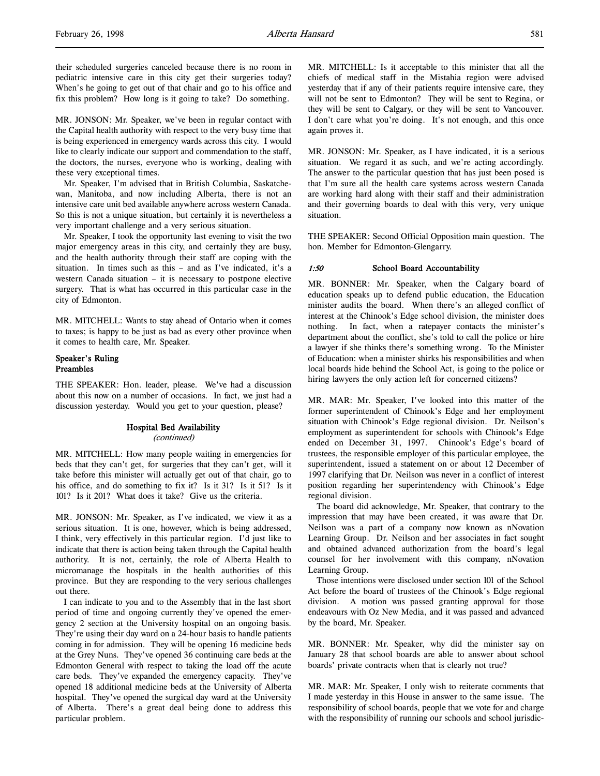their scheduled surgeries canceled because there is no room in pediatric intensive care in this city get their surgeries today? When's he going to get out of that chair and go to his office and fix this problem? How long is it going to take? Do something.

MR. JONSON: Mr. Speaker, we've been in regular contact with the Capital health authority with respect to the very busy time that is being experienced in emergency wards across this city. I would like to clearly indicate our support and commendation to the staff, the doctors, the nurses, everyone who is working, dealing with these very exceptional times.

Mr. Speaker, I'm advised that in British Columbia, Saskatchewan, Manitoba, and now including Alberta, there is not an intensive care unit bed available anywhere across western Canada. So this is not a unique situation, but certainly it is nevertheless a very important challenge and a very serious situation.

Mr. Speaker, I took the opportunity last evening to visit the two major emergency areas in this city, and certainly they are busy, and the health authority through their staff are coping with the situation. In times such as this – and as I've indicated, it's a western Canada situation – it is necessary to postpone elective surgery. That is what has occurred in this particular case in the city of Edmonton.

MR. MITCHELL: Wants to stay ahead of Ontario when it comes to taxes; is happy to be just as bad as every other province when it comes to health care, Mr. Speaker.

### Speaker's Ruling Preambles

THE SPEAKER: Hon. leader, please. We've had a discussion about this now on a number of occasions. In fact, we just had a discussion yesterday. Would you get to your question, please?

# Hospital Bed Availability

(continued)

MR. MITCHELL: How many people waiting in emergencies for beds that they can't get, for surgeries that they can't get, will it take before this minister will actually get out of that chair, go to his office, and do something to fix it? Is it 31? Is it 51? Is it 101? Is it 201? What does it take? Give us the criteria.

MR. JONSON: Mr. Speaker, as I've indicated, we view it as a serious situation. It is one, however, which is being addressed, I think, very effectively in this particular region. I'd just like to indicate that there is action being taken through the Capital health authority. It is not, certainly, the role of Alberta Health to micromanage the hospitals in the health authorities of this province. But they are responding to the very serious challenges out there.

I can indicate to you and to the Assembly that in the last short period of time and ongoing currently they've opened the emergency 2 section at the University hospital on an ongoing basis. They're using their day ward on a 24-hour basis to handle patients coming in for admission. They will be opening 16 medicine beds at the Grey Nuns. They've opened 36 continuing care beds at the Edmonton General with respect to taking the load off the acute care beds. They've expanded the emergency capacity. They've opened 18 additional medicine beds at the University of Alberta hospital. They've opened the surgical day ward at the University of Alberta. There's a great deal being done to address this particular problem.

MR. MITCHELL: Is it acceptable to this minister that all the chiefs of medical staff in the Mistahia region were advised yesterday that if any of their patients require intensive care, they will not be sent to Edmonton? They will be sent to Regina, or they will be sent to Calgary, or they will be sent to Vancouver. I don't care what you're doing. It's not enough, and this once again proves it.

MR. JONSON: Mr. Speaker, as I have indicated, it is a serious situation. We regard it as such, and we're acting accordingly. The answer to the particular question that has just been posed is that I'm sure all the health care systems across western Canada are working hard along with their staff and their administration and their governing boards to deal with this very, very unique situation.

THE SPEAKER: Second Official Opposition main question. The hon. Member for Edmonton-Glengarry.

### 1:50 School Board Accountability

MR. BONNER: Mr. Speaker, when the Calgary board of education speaks up to defend public education, the Education minister audits the board. When there's an alleged conflict of interest at the Chinook's Edge school division, the minister does nothing. In fact, when a ratepayer contacts the minister's department about the conflict, she's told to call the police or hire a lawyer if she thinks there's something wrong. To the Minister of Education: when a minister shirks his responsibilities and when local boards hide behind the School Act, is going to the police or hiring lawyers the only action left for concerned citizens?

MR. MAR: Mr. Speaker, I've looked into this matter of the former superintendent of Chinook's Edge and her employment situation with Chinook's Edge regional division. Dr. Neilson's employment as superintendent for schools with Chinook's Edge ended on December 31, 1997. Chinook's Edge's board of trustees, the responsible employer of this particular employee, the superintendent, issued a statement on or about 12 December of 1997 clarifying that Dr. Neilson was never in a conflict of interest position regarding her superintendency with Chinook's Edge regional division.

The board did acknowledge, Mr. Speaker, that contrary to the impression that may have been created, it was aware that Dr. Neilson was a part of a company now known as nNovation Learning Group. Dr. Neilson and her associates in fact sought and obtained advanced authorization from the board's legal counsel for her involvement with this company, nNovation Learning Group.

Those intentions were disclosed under section 101 of the School Act before the board of trustees of the Chinook's Edge regional division. A motion was passed granting approval for those endeavours with Oz New Media, and it was passed and advanced by the board, Mr. Speaker.

MR. BONNER: Mr. Speaker, why did the minister say on January 28 that school boards are able to answer about school boards' private contracts when that is clearly not true?

MR. MAR: Mr. Speaker, I only wish to reiterate comments that I made yesterday in this House in answer to the same issue. The responsibility of school boards, people that we vote for and charge with the responsibility of running our schools and school jurisdic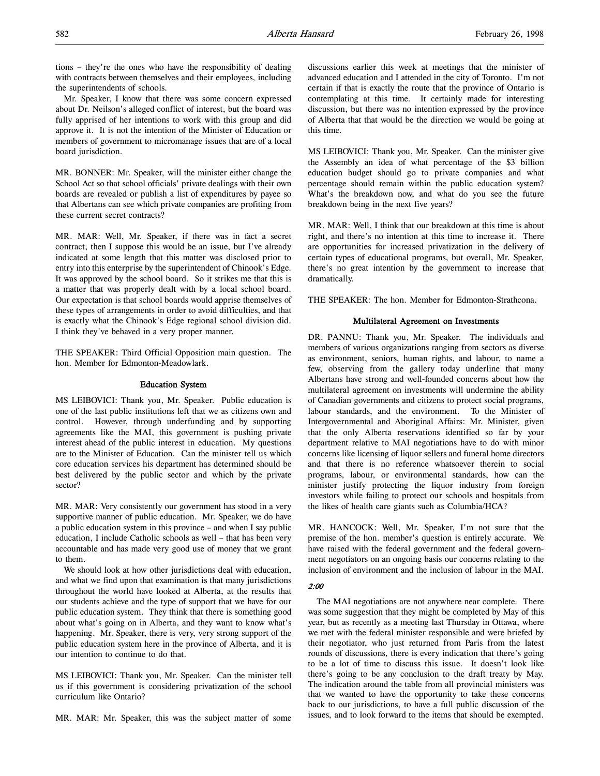tions – they're the ones who have the responsibility of dealing with contracts between themselves and their employees, including the superintendents of schools.

Mr. Speaker, I know that there was some concern expressed about Dr. Neilson's alleged conflict of interest, but the board was fully apprised of her intentions to work with this group and did approve it. It is not the intention of the Minister of Education or members of government to micromanage issues that are of a local board jurisdiction.

MR. BONNER: Mr. Speaker, will the minister either change the School Act so that school officials' private dealings with their own boards are revealed or publish a list of expenditures by payee so that Albertans can see which private companies are profiting from these current secret contracts?

MR. MAR: Well, Mr. Speaker, if there was in fact a secret contract, then I suppose this would be an issue, but I've already indicated at some length that this matter was disclosed prior to entry into this enterprise by the superintendent of Chinook's Edge. It was approved by the school board. So it strikes me that this is a matter that was properly dealt with by a local school board. Our expectation is that school boards would apprise themselves of these types of arrangements in order to avoid difficulties, and that is exactly what the Chinook's Edge regional school division did. I think they've behaved in a very proper manner.

THE SPEAKER: Third Official Opposition main question. The hon. Member for Edmonton-Meadowlark.

### Education System

MS LEIBOVICI: Thank you, Mr. Speaker. Public education is one of the last public institutions left that we as citizens own and control. However, through underfunding and by supporting agreements like the MAI, this government is pushing private interest ahead of the public interest in education. My questions are to the Minister of Education. Can the minister tell us which core education services his department has determined should be best delivered by the public sector and which by the private sector?

MR. MAR: Very consistently our government has stood in a very supportive manner of public education. Mr. Speaker, we do have a public education system in this province – and when I say public education, I include Catholic schools as well – that has been very accountable and has made very good use of money that we grant to them.

We should look at how other jurisdictions deal with education, and what we find upon that examination is that many jurisdictions throughout the world have looked at Alberta, at the results that our students achieve and the type of support that we have for our public education system. They think that there is something good about what's going on in Alberta, and they want to know what's happening. Mr. Speaker, there is very, very strong support of the public education system here in the province of Alberta, and it is our intention to continue to do that.

MS LEIBOVICI: Thank you, Mr. Speaker. Can the minister tell us if this government is considering privatization of the school curriculum like Ontario?

MR. MAR: Mr. Speaker, this was the subject matter of some

discussions earlier this week at meetings that the minister of advanced education and I attended in the city of Toronto. I'm not certain if that is exactly the route that the province of Ontario is contemplating at this time. It certainly made for interesting discussion, but there was no intention expressed by the province of Alberta that that would be the direction we would be going at this time.

MS LEIBOVICI: Thank you, Mr. Speaker. Can the minister give the Assembly an idea of what percentage of the \$3 billion education budget should go to private companies and what percentage should remain within the public education system? What's the breakdown now, and what do you see the future breakdown being in the next five years?

MR. MAR: Well, I think that our breakdown at this time is about right, and there's no intention at this time to increase it. There are opportunities for increased privatization in the delivery of certain types of educational programs, but overall, Mr. Speaker, there's no great intention by the government to increase that dramatically.

THE SPEAKER: The hon. Member for Edmonton-Strathcona.

#### Multilateral Agreement on Investments

DR. PANNU: Thank you, Mr. Speaker. The individuals and members of various organizations ranging from sectors as diverse as environment, seniors, human rights, and labour, to name a few, observing from the gallery today underline that many Albertans have strong and well-founded concerns about how the multilateral agreement on investments will undermine the ability of Canadian governments and citizens to protect social programs, labour standards, and the environment. To the Minister of Intergovernmental and Aboriginal Affairs: Mr. Minister, given that the only Alberta reservations identified so far by your department relative to MAI negotiations have to do with minor concerns like licensing of liquor sellers and funeral home directors and that there is no reference whatsoever therein to social programs, labour, or environmental standards, how can the minister justify protecting the liquor industry from foreign investors while failing to protect our schools and hospitals from the likes of health care giants such as Columbia/HCA?

MR. HANCOCK: Well, Mr. Speaker, I'm not sure that the premise of the hon. member's question is entirely accurate. We have raised with the federal government and the federal government negotiators on an ongoing basis our concerns relating to the inclusion of environment and the inclusion of labour in the MAI.

### 2:00

The MAI negotiations are not anywhere near complete. There was some suggestion that they might be completed by May of this year, but as recently as a meeting last Thursday in Ottawa, where we met with the federal minister responsible and were briefed by their negotiator, who just returned from Paris from the latest rounds of discussions, there is every indication that there's going to be a lot of time to discuss this issue. It doesn't look like there's going to be any conclusion to the draft treaty by May. The indication around the table from all provincial ministers was that we wanted to have the opportunity to take these concerns back to our jurisdictions, to have a full public discussion of the issues, and to look forward to the items that should be exempted.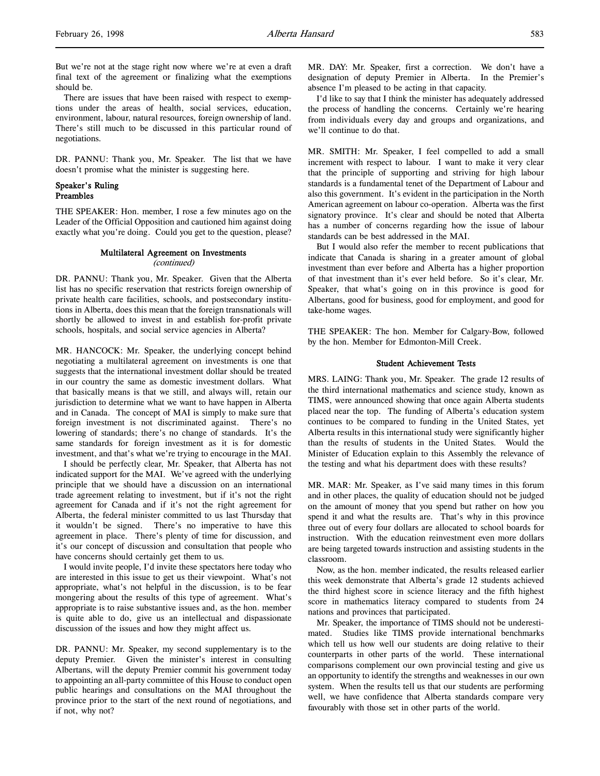But we're not at the stage right now where we're at even a draft final text of the agreement or finalizing what the exemptions should be.

There are issues that have been raised with respect to exemptions under the areas of health, social services, education, environment, labour, natural resources, foreign ownership of land. There's still much to be discussed in this particular round of negotiations.

DR. PANNU: Thank you, Mr. Speaker. The list that we have doesn't promise what the minister is suggesting here.

### Speaker's Ruling Preambles

THE SPEAKER: Hon. member, I rose a few minutes ago on the Leader of the Official Opposition and cautioned him against doing exactly what you're doing. Could you get to the question, please?

### Multilateral Agreement on Investments (continued)

DR. PANNU: Thank you, Mr. Speaker. Given that the Alberta list has no specific reservation that restricts foreign ownership of private health care facilities, schools, and postsecondary institutions in Alberta, does this mean that the foreign transnationals will shortly be allowed to invest in and establish for-profit private schools, hospitals, and social service agencies in Alberta?

MR. HANCOCK: Mr. Speaker, the underlying concept behind negotiating a multilateral agreement on investments is one that suggests that the international investment dollar should be treated in our country the same as domestic investment dollars. What that basically means is that we still, and always will, retain our jurisdiction to determine what we want to have happen in Alberta and in Canada. The concept of MAI is simply to make sure that foreign investment is not discriminated against. There's no lowering of standards; there's no change of standards. It's the same standards for foreign investment as it is for domestic investment, and that's what we're trying to encourage in the MAI.

I should be perfectly clear, Mr. Speaker, that Alberta has not indicated support for the MAI. We've agreed with the underlying principle that we should have a discussion on an international trade agreement relating to investment, but if it's not the right agreement for Canada and if it's not the right agreement for Alberta, the federal minister committed to us last Thursday that it wouldn't be signed. There's no imperative to have this agreement in place. There's plenty of time for discussion, and it's our concept of discussion and consultation that people who have concerns should certainly get them to us.

I would invite people, I'd invite these spectators here today who are interested in this issue to get us their viewpoint. What's not appropriate, what's not helpful in the discussion, is to be fear mongering about the results of this type of agreement. What's appropriate is to raise substantive issues and, as the hon. member is quite able to do, give us an intellectual and dispassionate discussion of the issues and how they might affect us.

DR. PANNU: Mr. Speaker, my second supplementary is to the deputy Premier. Given the minister's interest in consulting Albertans, will the deputy Premier commit his government today to appointing an all-party committee of this House to conduct open public hearings and consultations on the MAI throughout the province prior to the start of the next round of negotiations, and if not, why not?

MR. DAY: Mr. Speaker, first a correction. We don't have a designation of deputy Premier in Alberta. In the Premier's absence I'm pleased to be acting in that capacity.

I'd like to say that I think the minister has adequately addressed the process of handling the concerns. Certainly we're hearing from individuals every day and groups and organizations, and we'll continue to do that.

MR. SMITH: Mr. Speaker, I feel compelled to add a small increment with respect to labour. I want to make it very clear that the principle of supporting and striving for high labour standards is a fundamental tenet of the Department of Labour and also this government. It's evident in the participation in the North American agreement on labour co-operation. Alberta was the first signatory province. It's clear and should be noted that Alberta has a number of concerns regarding how the issue of labour standards can be best addressed in the MAI.

But I would also refer the member to recent publications that indicate that Canada is sharing in a greater amount of global investment than ever before and Alberta has a higher proportion of that investment than it's ever held before. So it's clear, Mr. Speaker, that what's going on in this province is good for Albertans, good for business, good for employment, and good for take-home wages.

THE SPEAKER: The hon. Member for Calgary-Bow, followed by the hon. Member for Edmonton-Mill Creek.

### Student Achievement Tests

MRS. LAING: Thank you, Mr. Speaker. The grade 12 results of the third international mathematics and science study, known as TIMS, were announced showing that once again Alberta students placed near the top. The funding of Alberta's education system continues to be compared to funding in the United States, yet Alberta results in this international study were significantly higher than the results of students in the United States. Would the Minister of Education explain to this Assembly the relevance of the testing and what his department does with these results?

MR. MAR: Mr. Speaker, as I've said many times in this forum and in other places, the quality of education should not be judged on the amount of money that you spend but rather on how you spend it and what the results are. That's why in this province three out of every four dollars are allocated to school boards for instruction. With the education reinvestment even more dollars are being targeted towards instruction and assisting students in the classroom.

Now, as the hon. member indicated, the results released earlier this week demonstrate that Alberta's grade 12 students achieved the third highest score in science literacy and the fifth highest score in mathematics literacy compared to students from 24 nations and provinces that participated.

Mr. Speaker, the importance of TIMS should not be underestimated. Studies like TIMS provide international benchmarks which tell us how well our students are doing relative to their counterparts in other parts of the world. These international comparisons complement our own provincial testing and give us an opportunity to identify the strengths and weaknesses in our own system. When the results tell us that our students are performing well, we have confidence that Alberta standards compare very favourably with those set in other parts of the world.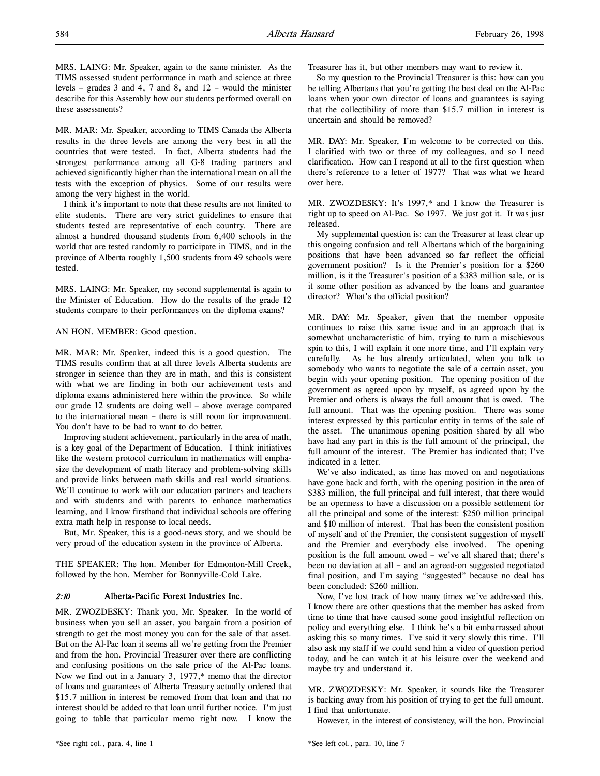MRS. LAING: Mr. Speaker, again to the same minister. As the TIMS assessed student performance in math and science at three levels – grades 3 and 4, 7 and 8, and 12 – would the minister describe for this Assembly how our students performed overall on these assessments?

MR. MAR: Mr. Speaker, according to TIMS Canada the Alberta results in the three levels are among the very best in all the countries that were tested. In fact, Alberta students had the strongest performance among all G-8 trading partners and achieved significantly higher than the international mean on all the tests with the exception of physics. Some of our results were among the very highest in the world.

I think it's important to note that these results are not limited to elite students. There are very strict guidelines to ensure that students tested are representative of each country. There are almost a hundred thousand students from 6,400 schools in the world that are tested randomly to participate in TIMS, and in the province of Alberta roughly 1,500 students from 49 schools were tested.

MRS. LAING: Mr. Speaker, my second supplemental is again to the Minister of Education. How do the results of the grade 12 students compare to their performances on the diploma exams?

### AN HON. MEMBER: Good question.

MR. MAR: Mr. Speaker, indeed this is a good question. The TIMS results confirm that at all three levels Alberta students are stronger in science than they are in math, and this is consistent with what we are finding in both our achievement tests and diploma exams administered here within the province. So while our grade 12 students are doing well – above average compared to the international mean – there is still room for improvement. You don't have to be bad to want to do better.

Improving student achievement, particularly in the area of math, is a key goal of the Department of Education. I think initiatives like the western protocol curriculum in mathematics will emphasize the development of math literacy and problem-solving skills and provide links between math skills and real world situations. We'll continue to work with our education partners and teachers and with students and with parents to enhance mathematics learning, and I know firsthand that individual schools are offering extra math help in response to local needs.

But, Mr. Speaker, this is a good-news story, and we should be very proud of the education system in the province of Alberta.

THE SPEAKER: The hon. Member for Edmonton-Mill Creek, followed by the hon. Member for Bonnyville-Cold Lake.

### 2:10 Alberta-Pacific Forest Industries Inc.

MR. ZWOZDESKY: Thank you, Mr. Speaker. In the world of business when you sell an asset, you bargain from a position of strength to get the most money you can for the sale of that asset. But on the Al-Pac loan it seems all we're getting from the Premier and from the hon. Provincial Treasurer over there are conflicting and confusing positions on the sale price of the Al-Pac loans. Now we find out in a January 3, 1977,\* memo that the director of loans and guarantees of Alberta Treasury actually ordered that \$15.7 million in interest be removed from that loan and that no interest should be added to that loan until further notice. I'm just going to table that particular memo right now. I know the

Treasurer has it, but other members may want to review it.

So my question to the Provincial Treasurer is this: how can you be telling Albertans that you're getting the best deal on the Al-Pac loans when your own director of loans and guarantees is saying that the collectibility of more than \$15.7 million in interest is uncertain and should be removed?

MR. DAY: Mr. Speaker, I'm welcome to be corrected on this. I clarified with two or three of my colleagues, and so I need clarification. How can I respond at all to the first question when there's reference to a letter of 1977? That was what we heard over here.

MR. ZWOZDESKY: It's 1997,\* and I know the Treasurer is right up to speed on Al-Pac. So 1997. We just got it. It was just released.

My supplemental question is: can the Treasurer at least clear up this ongoing confusion and tell Albertans which of the bargaining positions that have been advanced so far reflect the official government position? Is it the Premier's position for a \$260 million, is it the Treasurer's position of a \$383 million sale, or is it some other position as advanced by the loans and guarantee director? What's the official position?

MR. DAY: Mr. Speaker, given that the member opposite continues to raise this same issue and in an approach that is somewhat uncharacteristic of him, trying to turn a mischievous spin to this, I will explain it one more time, and I'll explain very carefully. As he has already articulated, when you talk to somebody who wants to negotiate the sale of a certain asset, you begin with your opening position. The opening position of the government as agreed upon by myself, as agreed upon by the Premier and others is always the full amount that is owed. The full amount. That was the opening position. There was some interest expressed by this particular entity in terms of the sale of the asset. The unanimous opening position shared by all who have had any part in this is the full amount of the principal, the full amount of the interest. The Premier has indicated that; I've indicated in a letter.

We've also indicated, as time has moved on and negotiations have gone back and forth, with the opening position in the area of \$383 million, the full principal and full interest, that there would be an openness to have a discussion on a possible settlement for all the principal and some of the interest: \$250 million principal and \$10 million of interest. That has been the consistent position of myself and of the Premier, the consistent suggestion of myself and the Premier and everybody else involved. The opening position is the full amount owed – we've all shared that; there's been no deviation at all – and an agreed-on suggested negotiated final position, and I'm saying "suggested" because no deal has been concluded: \$260 million.

Now, I've lost track of how many times we've addressed this. I know there are other questions that the member has asked from time to time that have caused some good insightful reflection on policy and everything else. I think he's a bit embarrassed about asking this so many times. I've said it very slowly this time. I'll also ask my staff if we could send him a video of question period today, and he can watch it at his leisure over the weekend and maybe try and understand it.

MR. ZWOZDESKY: Mr. Speaker, it sounds like the Treasurer is backing away from his position of trying to get the full amount. I find that unfortunate.

However, in the interest of consistency, will the hon. Provincial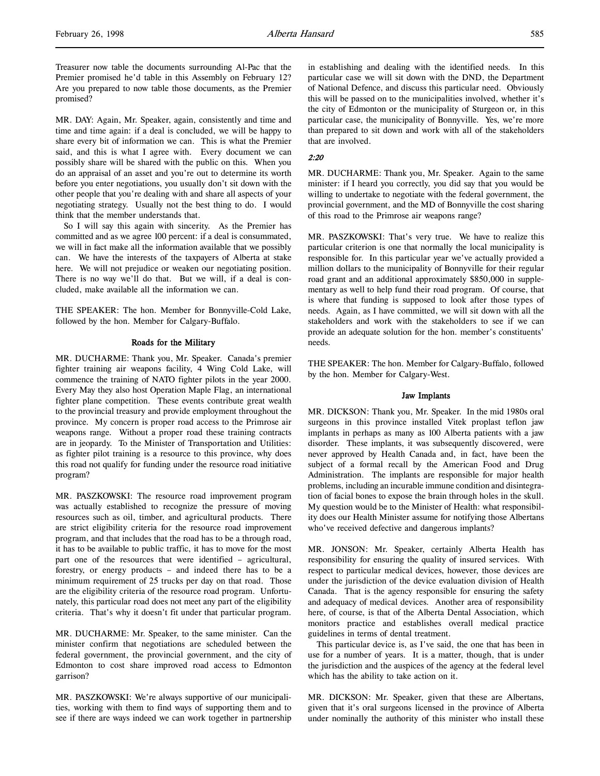Treasurer now table the documents surrounding Al-Pac that the Premier promised he'd table in this Assembly on February 12? Are you prepared to now table those documents, as the Premier promised?

MR. DAY: Again, Mr. Speaker, again, consistently and time and time and time again: if a deal is concluded, we will be happy to share every bit of information we can. This is what the Premier said, and this is what I agree with. Every document we can possibly share will be shared with the public on this. When you do an appraisal of an asset and you're out to determine its worth before you enter negotiations, you usually don't sit down with the other people that you're dealing with and share all aspects of your negotiating strategy. Usually not the best thing to do. I would think that the member understands that.

So I will say this again with sincerity. As the Premier has committed and as we agree 100 percent: if a deal is consummated, we will in fact make all the information available that we possibly can. We have the interests of the taxpayers of Alberta at stake here. We will not prejudice or weaken our negotiating position. There is no way we'll do that. But we will, if a deal is concluded, make available all the information we can.

THE SPEAKER: The hon. Member for Bonnyville-Cold Lake, followed by the hon. Member for Calgary-Buffalo.

### Roads for the Military

MR. DUCHARME: Thank you, Mr. Speaker. Canada's premier fighter training air weapons facility, 4 Wing Cold Lake, will commence the training of NATO fighter pilots in the year 2000. Every May they also host Operation Maple Flag, an international fighter plane competition. These events contribute great wealth to the provincial treasury and provide employment throughout the province. My concern is proper road access to the Primrose air weapons range. Without a proper road these training contracts are in jeopardy. To the Minister of Transportation and Utilities: as fighter pilot training is a resource to this province, why does this road not qualify for funding under the resource road initiative program?

MR. PASZKOWSKI: The resource road improvement program was actually established to recognize the pressure of moving resources such as oil, timber, and agricultural products. There are strict eligibility criteria for the resource road improvement program, and that includes that the road has to be a through road, it has to be available to public traffic, it has to move for the most part one of the resources that were identified – agricultural, forestry, or energy products – and indeed there has to be a minimum requirement of 25 trucks per day on that road. Those are the eligibility criteria of the resource road program. Unfortunately, this particular road does not meet any part of the eligibility criteria. That's why it doesn't fit under that particular program.

MR. DUCHARME: Mr. Speaker, to the same minister. Can the minister confirm that negotiations are scheduled between the federal government, the provincial government, and the city of Edmonton to cost share improved road access to Edmonton garrison?

MR. PASZKOWSKI: We're always supportive of our municipalities, working with them to find ways of supporting them and to see if there are ways indeed we can work together in partnership in establishing and dealing with the identified needs. In this particular case we will sit down with the DND, the Department of National Defence, and discuss this particular need. Obviously this will be passed on to the municipalities involved, whether it's the city of Edmonton or the municipality of Sturgeon or, in this particular case, the municipality of Bonnyville. Yes, we're more than prepared to sit down and work with all of the stakeholders that are involved.

#### 2:20

MR. DUCHARME: Thank you, Mr. Speaker. Again to the same minister: if I heard you correctly, you did say that you would be willing to undertake to negotiate with the federal government, the provincial government, and the MD of Bonnyville the cost sharing of this road to the Primrose air weapons range?

MR. PASZKOWSKI: That's very true. We have to realize this particular criterion is one that normally the local municipality is responsible for. In this particular year we've actually provided a million dollars to the municipality of Bonnyville for their regular road grant and an additional approximately \$850,000 in supplementary as well to help fund their road program. Of course, that is where that funding is supposed to look after those types of needs. Again, as I have committed, we will sit down with all the stakeholders and work with the stakeholders to see if we can provide an adequate solution for the hon. member's constituents' needs.

THE SPEAKER: The hon. Member for Calgary-Buffalo, followed by the hon. Member for Calgary-West.

### Jaw Implants

MR. DICKSON: Thank you, Mr. Speaker. In the mid 1980s oral surgeons in this province installed Vitek proplast teflon jaw implants in perhaps as many as 100 Alberta patients with a jaw disorder. These implants, it was subsequently discovered, were never approved by Health Canada and, in fact, have been the subject of a formal recall by the American Food and Drug Administration. The implants are responsible for major health problems, including an incurable immune condition and disintegration of facial bones to expose the brain through holes in the skull. My question would be to the Minister of Health: what responsibility does our Health Minister assume for notifying those Albertans who've received defective and dangerous implants?

MR. JONSON: Mr. Speaker, certainly Alberta Health has responsibility for ensuring the quality of insured services. With respect to particular medical devices, however, those devices are under the jurisdiction of the device evaluation division of Health Canada. That is the agency responsible for ensuring the safety and adequacy of medical devices. Another area of responsibility here, of course, is that of the Alberta Dental Association, which monitors practice and establishes overall medical practice guidelines in terms of dental treatment.

This particular device is, as I've said, the one that has been in use for a number of years. It is a matter, though, that is under the jurisdiction and the auspices of the agency at the federal level which has the ability to take action on it.

MR. DICKSON: Mr. Speaker, given that these are Albertans, given that it's oral surgeons licensed in the province of Alberta under nominally the authority of this minister who install these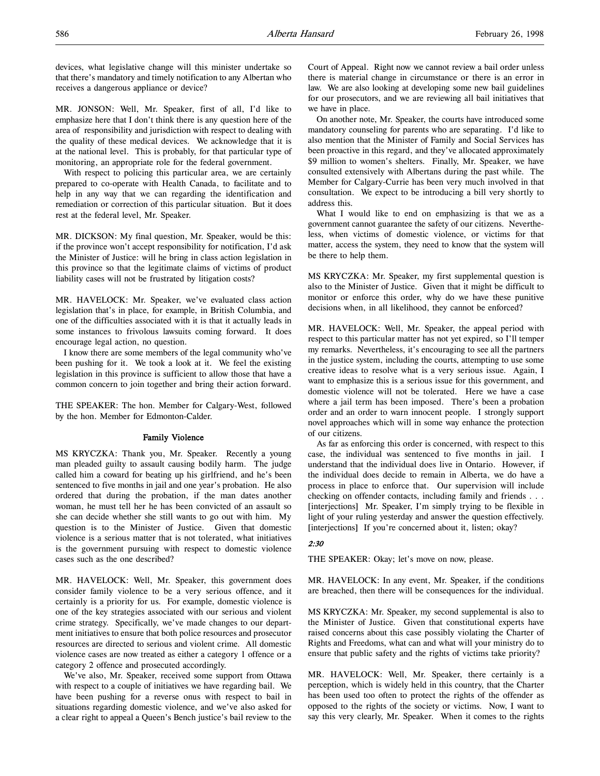devices, what legislative change will this minister undertake so that there's mandatory and timely notification to any Albertan who receives a dangerous appliance or device?

MR. JONSON: Well, Mr. Speaker, first of all, I'd like to emphasize here that I don't think there is any question here of the area of responsibility and jurisdiction with respect to dealing with the quality of these medical devices. We acknowledge that it is at the national level. This is probably, for that particular type of monitoring, an appropriate role for the federal government.

With respect to policing this particular area, we are certainly prepared to co-operate with Health Canada, to facilitate and to help in any way that we can regarding the identification and remediation or correction of this particular situation. But it does rest at the federal level, Mr. Speaker.

MR. DICKSON: My final question, Mr. Speaker, would be this: if the province won't accept responsibility for notification, I'd ask the Minister of Justice: will he bring in class action legislation in this province so that the legitimate claims of victims of product liability cases will not be frustrated by litigation costs?

MR. HAVELOCK: Mr. Speaker, we've evaluated class action legislation that's in place, for example, in British Columbia, and one of the difficulties associated with it is that it actually leads in some instances to frivolous lawsuits coming forward. It does encourage legal action, no question.

I know there are some members of the legal community who've been pushing for it. We took a look at it. We feel the existing legislation in this province is sufficient to allow those that have a common concern to join together and bring their action forward.

THE SPEAKER: The hon. Member for Calgary-West, followed by the hon. Member for Edmonton-Calder.

### Family Violence

MS KRYCZKA: Thank you, Mr. Speaker. Recently a young man pleaded guilty to assault causing bodily harm. The judge called him a coward for beating up his girlfriend, and he's been sentenced to five months in jail and one year's probation. He also ordered that during the probation, if the man dates another woman, he must tell her he has been convicted of an assault so she can decide whether she still wants to go out with him. My question is to the Minister of Justice. Given that domestic violence is a serious matter that is not tolerated, what initiatives is the government pursuing with respect to domestic violence cases such as the one described?

MR. HAVELOCK: Well, Mr. Speaker, this government does consider family violence to be a very serious offence, and it certainly is a priority for us. For example, domestic violence is one of the key strategies associated with our serious and violent crime strategy. Specifically, we've made changes to our department initiatives to ensure that both police resources and prosecutor resources are directed to serious and violent crime. All domestic violence cases are now treated as either a category 1 offence or a category 2 offence and prosecuted accordingly.

We've also, Mr. Speaker, received some support from Ottawa with respect to a couple of initiatives we have regarding bail. We have been pushing for a reverse onus with respect to bail in situations regarding domestic violence, and we've also asked for a clear right to appeal a Queen's Bench justice's bail review to the

Court of Appeal. Right now we cannot review a bail order unless there is material change in circumstance or there is an error in law. We are also looking at developing some new bail guidelines for our prosecutors, and we are reviewing all bail initiatives that we have in place.

On another note, Mr. Speaker, the courts have introduced some mandatory counseling for parents who are separating. I'd like to also mention that the Minister of Family and Social Services has been proactive in this regard, and they've allocated approximately \$9 million to women's shelters. Finally, Mr. Speaker, we have consulted extensively with Albertans during the past while. The Member for Calgary-Currie has been very much involved in that consultation. We expect to be introducing a bill very shortly to address this.

What I would like to end on emphasizing is that we as a government cannot guarantee the safety of our citizens. Nevertheless, when victims of domestic violence, or victims for that matter, access the system, they need to know that the system will be there to help them.

MS KRYCZKA: Mr. Speaker, my first supplemental question is also to the Minister of Justice. Given that it might be difficult to monitor or enforce this order, why do we have these punitive decisions when, in all likelihood, they cannot be enforced?

MR. HAVELOCK: Well, Mr. Speaker, the appeal period with respect to this particular matter has not yet expired, so I'll temper my remarks. Nevertheless, it's encouraging to see all the partners in the justice system, including the courts, attempting to use some creative ideas to resolve what is a very serious issue. Again, I want to emphasize this is a serious issue for this government, and domestic violence will not be tolerated. Here we have a case where a jail term has been imposed. There's been a probation order and an order to warn innocent people. I strongly support novel approaches which will in some way enhance the protection of our citizens.

As far as enforcing this order is concerned, with respect to this case, the individual was sentenced to five months in jail. I understand that the individual does live in Ontario. However, if the individual does decide to remain in Alberta, we do have a process in place to enforce that. Our supervision will include checking on offender contacts, including family and friends . . . [interjections] Mr. Speaker, I'm simply trying to be flexible in light of your ruling yesterday and answer the question effectively. [interjections] If you're concerned about it, listen; okay?

### 2:30

THE SPEAKER: Okay; let's move on now, please.

MR. HAVELOCK: In any event, Mr. Speaker, if the conditions are breached, then there will be consequences for the individual.

MS KRYCZKA: Mr. Speaker, my second supplemental is also to the Minister of Justice. Given that constitutional experts have raised concerns about this case possibly violating the Charter of Rights and Freedoms, what can and what will your ministry do to ensure that public safety and the rights of victims take priority?

MR. HAVELOCK: Well, Mr. Speaker, there certainly is a perception, which is widely held in this country, that the Charter has been used too often to protect the rights of the offender as opposed to the rights of the society or victims. Now, I want to say this very clearly, Mr. Speaker. When it comes to the rights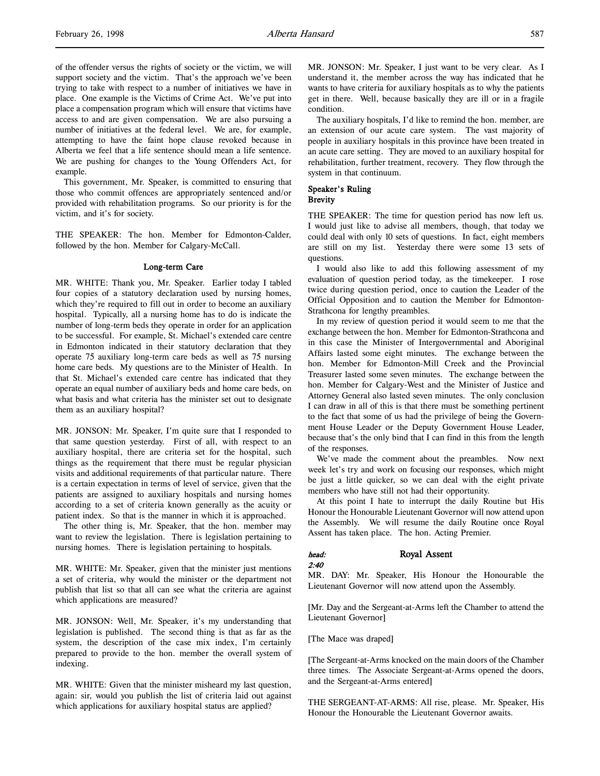of the offender versus the rights of society or the victim, we will support society and the victim. That's the approach we've been trying to take with respect to a number of initiatives we have in place. One example is the Victims of Crime Act. We've put into place a compensation program which will ensure that victims have access to and are given compensation. We are also pursuing a number of initiatives at the federal level. We are, for example, attempting to have the faint hope clause revoked because in Alberta we feel that a life sentence should mean a life sentence. We are pushing for changes to the Young Offenders Act, for example.

This government, Mr. Speaker, is committed to ensuring that those who commit offences are appropriately sentenced and/or provided with rehabilitation programs. So our priority is for the victim, and it's for society.

THE SPEAKER: The hon. Member for Edmonton-Calder, followed by the hon. Member for Calgary-McCall.

#### Long-term Care

MR. WHITE: Thank you, Mr. Speaker. Earlier today I tabled four copies of a statutory declaration used by nursing homes, which they're required to fill out in order to become an auxiliary hospital. Typically, all a nursing home has to do is indicate the number of long-term beds they operate in order for an application to be successful. For example, St. Michael's extended care centre in Edmonton indicated in their statutory declaration that they operate 75 auxiliary long-term care beds as well as 75 nursing home care beds. My questions are to the Minister of Health. In that St. Michael's extended care centre has indicated that they operate an equal number of auxiliary beds and home care beds, on what basis and what criteria has the minister set out to designate them as an auxiliary hospital?

MR. JONSON: Mr. Speaker, I'm quite sure that I responded to that same question yesterday. First of all, with respect to an auxiliary hospital, there are criteria set for the hospital, such things as the requirement that there must be regular physician visits and additional requirements of that particular nature. There is a certain expectation in terms of level of service, given that the patients are assigned to auxiliary hospitals and nursing homes according to a set of criteria known generally as the acuity or patient index. So that is the manner in which it is approached.

The other thing is, Mr. Speaker, that the hon. member may want to review the legislation. There is legislation pertaining to nursing homes. There is legislation pertaining to hospitals.

MR. WHITE: Mr. Speaker, given that the minister just mentions a set of criteria, why would the minister or the department not publish that list so that all can see what the criteria are against which applications are measured?

MR. JONSON: Well, Mr. Speaker, it's my understanding that legislation is published. The second thing is that as far as the system, the description of the case mix index, I'm certainly prepared to provide to the hon. member the overall system of indexing.

MR. WHITE: Given that the minister misheard my last question, again: sir, would you publish the list of criteria laid out against which applications for auxiliary hospital status are applied?

MR. JONSON: Mr. Speaker, I just want to be very clear. As I understand it, the member across the way has indicated that he wants to have criteria for auxiliary hospitals as to why the patients get in there. Well, because basically they are ill or in a fragile condition.

The auxiliary hospitals, I'd like to remind the hon. member, are an extension of our acute care system. The vast majority of people in auxiliary hospitals in this province have been treated in an acute care setting. They are moved to an auxiliary hospital for rehabilitation, further treatment, recovery. They flow through the system in that continuum.

### Speaker's Ruling **Brevity**

THE SPEAKER: The time for question period has now left us. I would just like to advise all members, though, that today we could deal with only 10 sets of questions. In fact, eight members are still on my list. Yesterday there were some 13 sets of questions.

I would also like to add this following assessment of my evaluation of question period today, as the timekeeper. I rose twice during question period, once to caution the Leader of the Official Opposition and to caution the Member for Edmonton-Strathcona for lengthy preambles.

In my review of question period it would seem to me that the exchange between the hon. Member for Edmonton-Strathcona and in this case the Minister of Intergovernmental and Aboriginal Affairs lasted some eight minutes. The exchange between the hon. Member for Edmonton-Mill Creek and the Provincial Treasurer lasted some seven minutes. The exchange between the hon. Member for Calgary-West and the Minister of Justice and Attorney General also lasted seven minutes. The only conclusion I can draw in all of this is that there must be something pertinent to the fact that some of us had the privilege of being the Government House Leader or the Deputy Government House Leader, because that's the only bind that I can find in this from the length of the responses.

We've made the comment about the preambles. Now next week let's try and work on focusing our responses, which might be just a little quicker, so we can deal with the eight private members who have still not had their opportunity.

At this point I hate to interrupt the daily Routine but His Honour the Honourable Lieutenant Governor will now attend upon the Assembly. We will resume the daily Routine once Royal Assent has taken place. The hon. Acting Premier.

### head: Royal Assent

### MR. DAY: Mr. Speaker, His Honour the Honourable the Lieutenant Governor will now attend upon the Assembly.

[Mr. Day and the Sergeant-at-Arms left the Chamber to attend the Lieutenant Governor]

[The Mace was draped]

2:40

[The Sergeant-at-Arms knocked on the main doors of the Chamber three times. The Associate Sergeant-at-Arms opened the doors, and the Sergeant-at-Arms entered]

THE SERGEANT-AT-ARMS: All rise, please. Mr. Speaker, His Honour the Honourable the Lieutenant Governor awaits.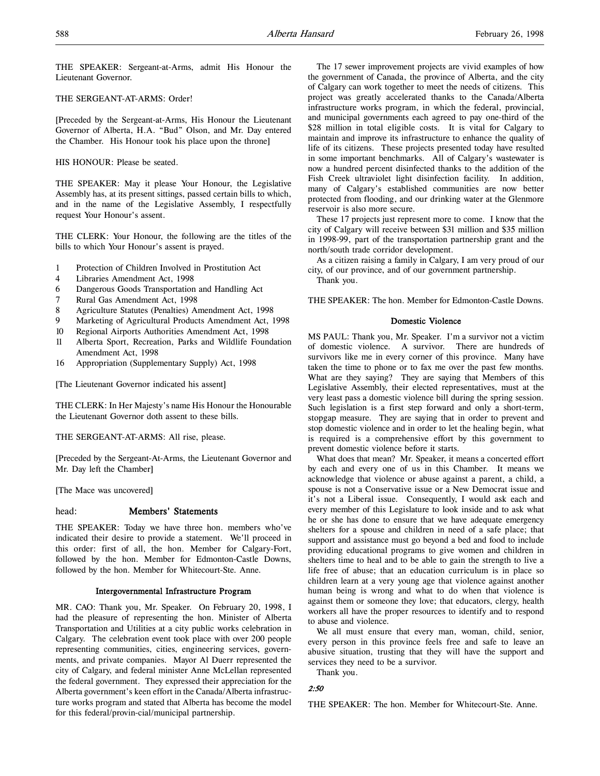THE SPEAKER: Sergeant-at-Arms, admit His Honour the Lieutenant Governor.

### THE SERGEANT-AT-ARMS: Order!

[Preceded by the Sergeant-at-Arms, His Honour the Lieutenant Governor of Alberta, H.A. "Bud" Olson, and Mr. Day entered the Chamber. His Honour took his place upon the throne]

#### HIS HONOUR: Please be seated.

THE SPEAKER: May it please Your Honour, the Legislative Assembly has, at its present sittings, passed certain bills to which, and in the name of the Legislative Assembly, I respectfully request Your Honour's assent.

THE CLERK: Your Honour, the following are the titles of the bills to which Your Honour's assent is prayed.

- 1 Protection of Children Involved in Prostitution Act
- 4 Libraries Amendment Act, 1998
- 6 Dangerous Goods Transportation and Handling Act
- 7 Rural Gas Amendment Act, 1998
- 8 Agriculture Statutes (Penalties) Amendment Act, 1998
- 9 Marketing of Agricultural Products Amendment Act, 1998
- 10 Regional Airports Authorities Amendment Act, 1998
- 11 Alberta Sport, Recreation, Parks and Wildlife Foundation Amendment Act, 1998
- 16 Appropriation (Supplementary Supply) Act, 1998

[The Lieutenant Governor indicated his assent]

THE CLERK: In Her Majesty's name His Honour the Honourable the Lieutenant Governor doth assent to these bills.

THE SERGEANT-AT-ARMS: All rise, please.

[Preceded by the Sergeant-At-Arms, the Lieutenant Governor and Mr. Day left the Chamber]

[The Mace was uncovered]

### head: Members' Statements

THE SPEAKER: Today we have three hon. members who've indicated their desire to provide a statement. We'll proceed in this order: first of all, the hon. Member for Calgary-Fort, followed by the hon. Member for Edmonton-Castle Downs, followed by the hon. Member for Whitecourt-Ste. Anne.

### Intergovernmental Infrastructure Program

MR. CAO: Thank you, Mr. Speaker. On February 20, 1998, I had the pleasure of representing the hon. Minister of Alberta Transportation and Utilities at a city public works celebration in Calgary. The celebration event took place with over 200 people representing communities, cities, engineering services, governments, and private companies. Mayor Al Duerr represented the city of Calgary, and federal minister Anne McLellan represented the federal government. They expressed their appreciation for the Alberta government's keen effort in the Canada/Alberta infrastructure works program and stated that Alberta has become the model for this federal/provin-cial/municipal partnership.

The 17 sewer improvement projects are vivid examples of how the government of Canada, the province of Alberta, and the city of Calgary can work together to meet the needs of citizens. This project was greatly accelerated thanks to the Canada/Alberta infrastructure works program, in which the federal, provincial, and municipal governments each agreed to pay one-third of the \$28 million in total eligible costs. It is vital for Calgary to maintain and improve its infrastructure to enhance the quality of life of its citizens. These projects presented today have resulted in some important benchmarks. All of Calgary's wastewater is now a hundred percent disinfected thanks to the addition of the Fish Creek ultraviolet light disinfection facility. In addition, many of Calgary's established communities are now better protected from flooding, and our drinking water at the Glenmore reservoir is also more secure.

These 17 projects just represent more to come. I know that the city of Calgary will receive between \$31 million and \$35 million in 1998-99, part of the transportation partnership grant and the north/south trade corridor development.

As a citizen raising a family in Calgary, I am very proud of our city, of our province, and of our government partnership.

Thank you.

THE SPEAKER: The hon. Member for Edmonton-Castle Downs.

### Domestic Violence

MS PAUL: Thank you, Mr. Speaker. I'm a survivor not a victim of domestic violence. A survivor. There are hundreds of survivors like me in every corner of this province. Many have taken the time to phone or to fax me over the past few months. What are they saying? They are saying that Members of this Legislative Assembly, their elected representatives, must at the very least pass a domestic violence bill during the spring session. Such legislation is a first step forward and only a short-term, stopgap measure. They are saying that in order to prevent and stop domestic violence and in order to let the healing begin, what is required is a comprehensive effort by this government to prevent domestic violence before it starts.

What does that mean? Mr. Speaker, it means a concerted effort by each and every one of us in this Chamber. It means we acknowledge that violence or abuse against a parent, a child, a spouse is not a Conservative issue or a New Democrat issue and it's not a Liberal issue. Consequently, I would ask each and every member of this Legislature to look inside and to ask what he or she has done to ensure that we have adequate emergency shelters for a spouse and children in need of a safe place; that support and assistance must go beyond a bed and food to include providing educational programs to give women and children in shelters time to heal and to be able to gain the strength to live a life free of abuse; that an education curriculum is in place so children learn at a very young age that violence against another human being is wrong and what to do when that violence is against them or someone they love; that educators, clergy, health workers all have the proper resources to identify and to respond to abuse and violence.

We all must ensure that every man, woman, child, senior, every person in this province feels free and safe to leave an abusive situation, trusting that they will have the support and services they need to be a survivor.

Thank you.

### 2:50

THE SPEAKER: The hon. Member for Whitecourt-Ste. Anne.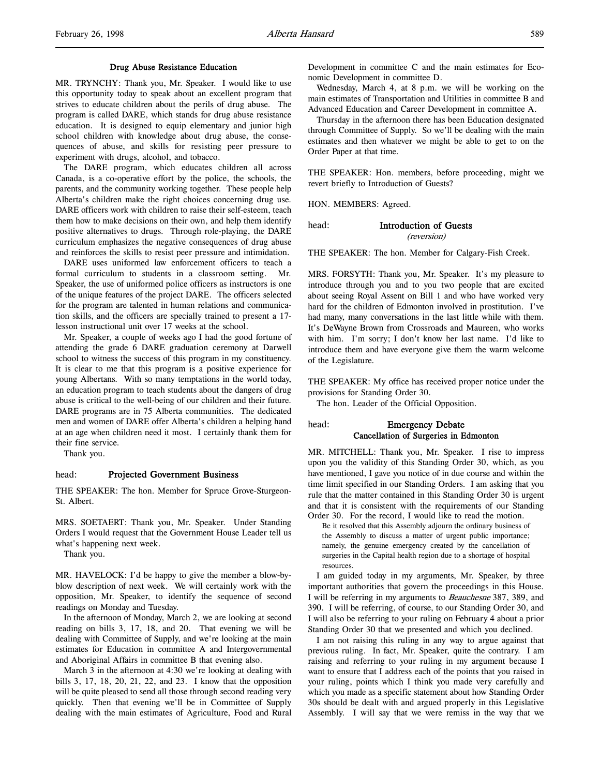#### Drug Abuse Resistance Education

MR. TRYNCHY: Thank you, Mr. Speaker. I would like to use this opportunity today to speak about an excellent program that strives to educate children about the perils of drug abuse. The program is called DARE, which stands for drug abuse resistance education. It is designed to equip elementary and junior high school children with knowledge about drug abuse, the consequences of abuse, and skills for resisting peer pressure to experiment with drugs, alcohol, and tobacco.

The DARE program, which educates children all across Canada, is a co-operative effort by the police, the schools, the parents, and the community working together. These people help Alberta's children make the right choices concerning drug use. DARE officers work with children to raise their self-esteem, teach them how to make decisions on their own, and help them identify positive alternatives to drugs. Through role-playing, the DARE curriculum emphasizes the negative consequences of drug abuse and reinforces the skills to resist peer pressure and intimidation.

DARE uses uniformed law enforcement officers to teach a formal curriculum to students in a classroom setting. Mr. Speaker, the use of uniformed police officers as instructors is one of the unique features of the project DARE. The officers selected for the program are talented in human relations and communication skills, and the officers are specially trained to present a 17 lesson instructional unit over 17 weeks at the school.

Mr. Speaker, a couple of weeks ago I had the good fortune of attending the grade 6 DARE graduation ceremony at Darwell school to witness the success of this program in my constituency. It is clear to me that this program is a positive experience for young Albertans. With so many temptations in the world today, an education program to teach students about the dangers of drug abuse is critical to the well-being of our children and their future. DARE programs are in 75 Alberta communities. The dedicated men and women of DARE offer Alberta's children a helping hand at an age when children need it most. I certainly thank them for their fine service.

Thank you.

### head: Projected Government Business

THE SPEAKER: The hon. Member for Spruce Grove-Sturgeon-St. Albert.

MRS. SOETAERT: Thank you, Mr. Speaker. Under Standing Orders I would request that the Government House Leader tell us what's happening next week.

Thank you.

MR. HAVELOCK: I'd be happy to give the member a blow-byblow description of next week. We will certainly work with the opposition, Mr. Speaker, to identify the sequence of second readings on Monday and Tuesday.

In the afternoon of Monday, March 2, we are looking at second reading on bills 3, 17, 18, and 20. That evening we will be dealing with Committee of Supply, and we're looking at the main estimates for Education in committee A and Intergovernmental and Aboriginal Affairs in committee B that evening also.

March 3 in the afternoon at 4:30 we're looking at dealing with bills 3, 17, 18, 20, 21, 22, and 23. I know that the opposition will be quite pleased to send all those through second reading very quickly. Then that evening we'll be in Committee of Supply dealing with the main estimates of Agriculture, Food and Rural

Development in committee C and the main estimates for Economic Development in committee D.

Wednesday, March 4, at 8 p.m. we will be working on the main estimates of Transportation and Utilities in committee B and Advanced Education and Career Development in committee A.

Thursday in the afternoon there has been Education designated through Committee of Supply. So we'll be dealing with the main estimates and then whatever we might be able to get to on the Order Paper at that time.

THE SPEAKER: Hon. members, before proceeding, might we revert briefly to Introduction of Guests?

HON. MEMBERS: Agreed.

head: Introduction of Guests

(reversion)

THE SPEAKER: The hon. Member for Calgary-Fish Creek.

MRS. FORSYTH: Thank you, Mr. Speaker. It's my pleasure to introduce through you and to you two people that are excited about seeing Royal Assent on Bill 1 and who have worked very hard for the children of Edmonton involved in prostitution. I've had many, many conversations in the last little while with them. It's DeWayne Brown from Crossroads and Maureen, who works with him. I'm sorry; I don't know her last name. I'd like to introduce them and have everyone give them the warm welcome of the Legislature.

THE SPEAKER: My office has received proper notice under the provisions for Standing Order 30.

The hon. Leader of the Official Opposition.

### head: Emergency Debate Cancellation of Surgeries in Edmonton

MR. MITCHELL: Thank you, Mr. Speaker. I rise to impress upon you the validity of this Standing Order 30, which, as you have mentioned, I gave you notice of in due course and within the time limit specified in our Standing Orders. I am asking that you rule that the matter contained in this Standing Order 30 is urgent and that it is consistent with the requirements of our Standing Order 30. For the record, I would like to read the motion.

Be it resolved that this Assembly adjourn the ordinary business of the Assembly to discuss a matter of urgent public importance; namely, the genuine emergency created by the cancellation of surgeries in the Capital health region due to a shortage of hospital resources.

I am guided today in my arguments, Mr. Speaker, by three important authorities that govern the proceedings in this House. I will be referring in my arguments to *Beauchesne* 387, 389, and 390. I will be referring, of course, to our Standing Order 30, and I will also be referring to your ruling on February 4 about a prior Standing Order 30 that we presented and which you declined.

I am not raising this ruling in any way to argue against that previous ruling. In fact, Mr. Speaker, quite the contrary. I am raising and referring to your ruling in my argument because I want to ensure that I address each of the points that you raised in your ruling, points which I think you made very carefully and which you made as a specific statement about how Standing Order 30s should be dealt with and argued properly in this Legislative Assembly. I will say that we were remiss in the way that we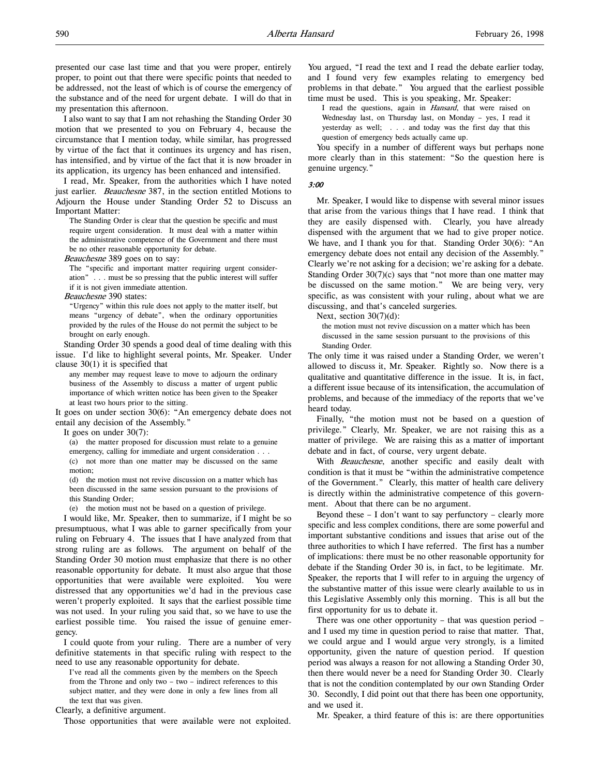presented our case last time and that you were proper, entirely proper, to point out that there were specific points that needed to be addressed, not the least of which is of course the emergency of the substance and of the need for urgent debate. I will do that in my presentation this afternoon.

I also want to say that I am not rehashing the Standing Order 30 motion that we presented to you on February 4, because the circumstance that I mention today, while similar, has progressed by virtue of the fact that it continues its urgency and has risen, has intensified, and by virtue of the fact that it is now broader in its application, its urgency has been enhanced and intensified.

I read, Mr. Speaker, from the authorities which I have noted just earlier. *Beauchesne* 387, in the section entitled Motions to Adjourn the House under Standing Order 52 to Discuss an Important Matter:

The Standing Order is clear that the question be specific and must require urgent consideration. It must deal with a matter within the administrative competence of the Government and there must be no other reasonable opportunity for debate.

Beauchesne 389 goes on to say:

The "specific and important matter requiring urgent consideration" . . . must be so pressing that the public interest will suffer if it is not given immediate attention.

Beauchesne 390 states:

"Urgency" within this rule does not apply to the matter itself, but means "urgency of debate", when the ordinary opportunities provided by the rules of the House do not permit the subject to be brought on early enough.

Standing Order 30 spends a good deal of time dealing with this issue. I'd like to highlight several points, Mr. Speaker. Under clause  $30(1)$  it is specified that

any member may request leave to move to adjourn the ordinary business of the Assembly to discuss a matter of urgent public importance of which written notice has been given to the Speaker at least two hours prior to the sitting.

It goes on under section 30(6): "An emergency debate does not entail any decision of the Assembly."

It goes on under 30(7):

(a) the matter proposed for discussion must relate to a genuine emergency, calling for immediate and urgent consideration . . . (c) not more than one matter may be discussed on the same

motion; (d) the motion must not revive discussion on a matter which has

been discussed in the same session pursuant to the provisions of this Standing Order;

(e) the motion must not be based on a question of privilege.

I would like, Mr. Speaker, then to summarize, if I might be so presumptuous, what I was able to garner specifically from your ruling on February 4. The issues that I have analyzed from that strong ruling are as follows. The argument on behalf of the Standing Order 30 motion must emphasize that there is no other reasonable opportunity for debate. It must also argue that those opportunities that were available were exploited. You were distressed that any opportunities we'd had in the previous case weren't properly exploited. It says that the earliest possible time was not used. In your ruling you said that, so we have to use the earliest possible time. You raised the issue of genuine emergency.

I could quote from your ruling. There are a number of very definitive statements in that specific ruling with respect to the need to use any reasonable opportunity for debate.

I've read all the comments given by the members on the Speech from the Throne and only two – two – indirect references to this subject matter, and they were done in only a few lines from all the text that was given.

Clearly, a definitive argument.

Those opportunities that were available were not exploited.

You argued, "I read the text and I read the debate earlier today, and I found very few examples relating to emergency bed problems in that debate." You argued that the earliest possible time must be used. This is you speaking, Mr. Speaker:

I read the questions, again in Hansard, that were raised on Wednesday last, on Thursday last, on Monday – yes, I read it yesterday as well; . . . and today was the first day that this question of emergency beds actually came up.

You specify in a number of different ways but perhaps none more clearly than in this statement: "So the question here is genuine urgency."

#### 3:00

Mr. Speaker, I would like to dispense with several minor issues that arise from the various things that I have read. I think that they are easily dispensed with. Clearly, you have already dispensed with the argument that we had to give proper notice. We have, and I thank you for that. Standing Order 30(6): "An emergency debate does not entail any decision of the Assembly." Clearly we're not asking for a decision; we're asking for a debate. Standing Order 30(7)(c) says that "not more than one matter may be discussed on the same motion." We are being very, very specific, as was consistent with your ruling, about what we are discussing, and that's canceled surgeries.

Next, section 30(7)(d):

the motion must not revive discussion on a matter which has been discussed in the same session pursuant to the provisions of this Standing Order.

The only time it was raised under a Standing Order, we weren't allowed to discuss it, Mr. Speaker. Rightly so. Now there is a qualitative and quantitative difference in the issue. It is, in fact, a different issue because of its intensification, the accumulation of problems, and because of the immediacy of the reports that we've heard today.

Finally, "the motion must not be based on a question of privilege." Clearly, Mr. Speaker, we are not raising this as a matter of privilege. We are raising this as a matter of important debate and in fact, of course, very urgent debate.

With Beauchesne, another specific and easily dealt with condition is that it must be "within the administrative competence of the Government." Clearly, this matter of health care delivery is directly within the administrative competence of this government. About that there can be no argument.

Beyond these  $- I$  don't want to say perfunctory  $-$  clearly more specific and less complex conditions, there are some powerful and important substantive conditions and issues that arise out of the three authorities to which I have referred. The first has a number of implications: there must be no other reasonable opportunity for debate if the Standing Order 30 is, in fact, to be legitimate. Mr. Speaker, the reports that I will refer to in arguing the urgency of the substantive matter of this issue were clearly available to us in this Legislative Assembly only this morning. This is all but the first opportunity for us to debate it.

There was one other opportunity – that was question period – and I used my time in question period to raise that matter. That, we could argue and I would argue very strongly, is a limited opportunity, given the nature of question period. If question period was always a reason for not allowing a Standing Order 30, then there would never be a need for Standing Order 30. Clearly that is not the condition contemplated by our own Standing Order 30. Secondly, I did point out that there has been one opportunity, and we used it.

Mr. Speaker, a third feature of this is: are there opportunities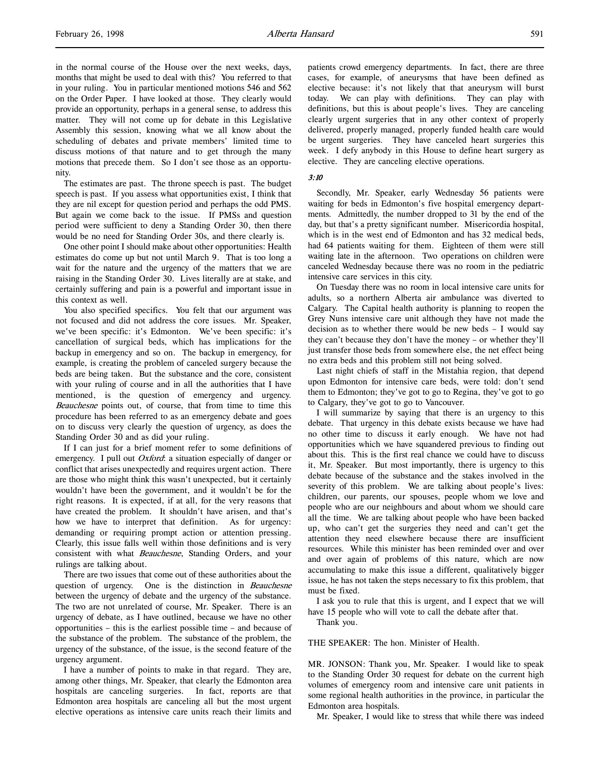in the normal course of the House over the next weeks, days, months that might be used to deal with this? You referred to that in your ruling. You in particular mentioned motions 546 and 562 on the Order Paper. I have looked at those. They clearly would provide an opportunity, perhaps in a general sense, to address this matter. They will not come up for debate in this Legislative Assembly this session, knowing what we all know about the scheduling of debates and private members' limited time to discuss motions of that nature and to get through the many motions that precede them. So I don't see those as an opportunity.

The estimates are past. The throne speech is past. The budget speech is past. If you assess what opportunities exist, I think that they are nil except for question period and perhaps the odd PMS. But again we come back to the issue. If PMSs and question period were sufficient to deny a Standing Order 30, then there would be no need for Standing Order 30s, and there clearly is.

One other point I should make about other opportunities: Health estimates do come up but not until March 9. That is too long a wait for the nature and the urgency of the matters that we are raising in the Standing Order 30. Lives literally are at stake, and certainly suffering and pain is a powerful and important issue in this context as well.

You also specified specifics. You felt that our argument was not focused and did not address the core issues. Mr. Speaker, we've been specific: it's Edmonton. We've been specific: it's cancellation of surgical beds, which has implications for the backup in emergency and so on. The backup in emergency, for example, is creating the problem of canceled surgery because the beds are being taken. But the substance and the core, consistent with your ruling of course and in all the authorities that I have mentioned, is the question of emergency and urgency. Beauchesne points out, of course, that from time to time this procedure has been referred to as an emergency debate and goes on to discuss very clearly the question of urgency, as does the Standing Order 30 and as did your ruling.

If I can just for a brief moment refer to some definitions of emergency. I pull out *Oxford*: a situation especially of danger or conflict that arises unexpectedly and requires urgent action. There are those who might think this wasn't unexpected, but it certainly wouldn't have been the government, and it wouldn't be for the right reasons. It is expected, if at all, for the very reasons that have created the problem. It shouldn't have arisen, and that's how we have to interpret that definition. As for urgency: demanding or requiring prompt action or attention pressing. Clearly, this issue falls well within those definitions and is very consistent with what Beauchesne, Standing Orders, and your rulings are talking about.

There are two issues that come out of these authorities about the question of urgency. One is the distinction in Beauchesne between the urgency of debate and the urgency of the substance. The two are not unrelated of course, Mr. Speaker. There is an urgency of debate, as I have outlined, because we have no other opportunities – this is the earliest possible time – and because of the substance of the problem. The substance of the problem, the urgency of the substance, of the issue, is the second feature of the urgency argument.

I have a number of points to make in that regard. They are, among other things, Mr. Speaker, that clearly the Edmonton area hospitals are canceling surgeries. In fact, reports are that Edmonton area hospitals are canceling all but the most urgent elective operations as intensive care units reach their limits and patients crowd emergency departments. In fact, there are three cases, for example, of aneurysms that have been defined as elective because: it's not likely that that aneurysm will burst today. We can play with definitions. They can play with definitions, but this is about people's lives. They are canceling clearly urgent surgeries that in any other context of properly delivered, properly managed, properly funded health care would be urgent surgeries. They have canceled heart surgeries this week. I defy anybody in this House to define heart surgery as elective. They are canceling elective operations.

### 3:10

Secondly, Mr. Speaker, early Wednesday 56 patients were waiting for beds in Edmonton's five hospital emergency departments. Admittedly, the number dropped to 31 by the end of the day, but that's a pretty significant number. Misericordia hospital, which is in the west end of Edmonton and has 32 medical beds, had 64 patients waiting for them. Eighteen of them were still waiting late in the afternoon. Two operations on children were canceled Wednesday because there was no room in the pediatric intensive care services in this city.

On Tuesday there was no room in local intensive care units for adults, so a northern Alberta air ambulance was diverted to Calgary. The Capital health authority is planning to reopen the Grey Nuns intensive care unit although they have not made the decision as to whether there would be new beds – I would say they can't because they don't have the money – or whether they'll just transfer those beds from somewhere else, the net effect being no extra beds and this problem still not being solved.

Last night chiefs of staff in the Mistahia region, that depend upon Edmonton for intensive care beds, were told: don't send them to Edmonton; they've got to go to Regina, they've got to go to Calgary, they've got to go to Vancouver.

I will summarize by saying that there is an urgency to this debate. That urgency in this debate exists because we have had no other time to discuss it early enough. We have not had opportunities which we have squandered previous to finding out about this. This is the first real chance we could have to discuss it, Mr. Speaker. But most importantly, there is urgency to this debate because of the substance and the stakes involved in the severity of this problem. We are talking about people's lives: children, our parents, our spouses, people whom we love and people who are our neighbours and about whom we should care all the time. We are talking about people who have been backed up, who can't get the surgeries they need and can't get the attention they need elsewhere because there are insufficient resources. While this minister has been reminded over and over and over again of problems of this nature, which are now accumulating to make this issue a different, qualitatively bigger issue, he has not taken the steps necessary to fix this problem, that must be fixed.

I ask you to rule that this is urgent, and I expect that we will have 15 people who will vote to call the debate after that.

Thank you.

THE SPEAKER: The hon. Minister of Health.

MR. JONSON: Thank you, Mr. Speaker. I would like to speak to the Standing Order 30 request for debate on the current high volumes of emergency room and intensive care unit patients in some regional health authorities in the province, in particular the Edmonton area hospitals.

Mr. Speaker, I would like to stress that while there was indeed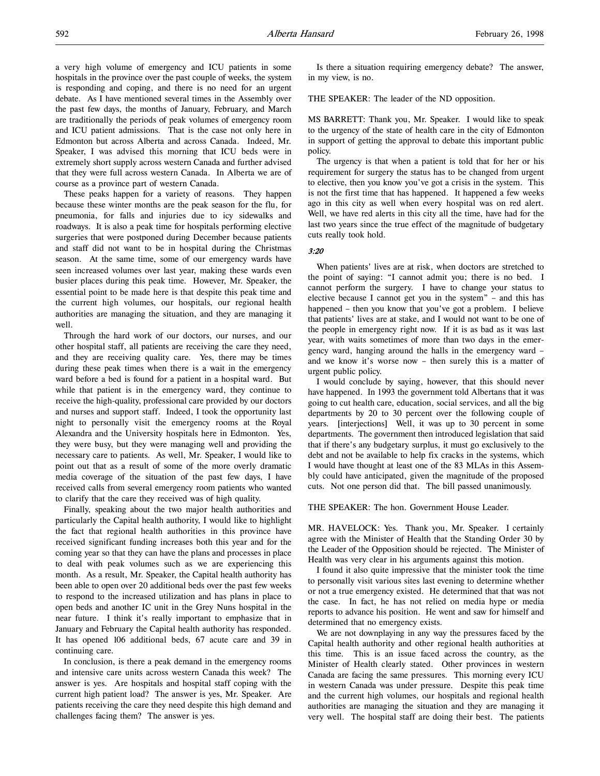a very high volume of emergency and ICU patients in some hospitals in the province over the past couple of weeks, the system is responding and coping, and there is no need for an urgent debate. As I have mentioned several times in the Assembly over the past few days, the months of January, February, and March are traditionally the periods of peak volumes of emergency room and ICU patient admissions. That is the case not only here in Edmonton but across Alberta and across Canada. Indeed, Mr. Speaker, I was advised this morning that ICU beds were in extremely short supply across western Canada and further advised that they were full across western Canada. In Alberta we are of course as a province part of western Canada.

These peaks happen for a variety of reasons. They happen because these winter months are the peak season for the flu, for pneumonia, for falls and injuries due to icy sidewalks and roadways. It is also a peak time for hospitals performing elective surgeries that were postponed during December because patients and staff did not want to be in hospital during the Christmas season. At the same time, some of our emergency wards have seen increased volumes over last year, making these wards even busier places during this peak time. However, Mr. Speaker, the essential point to be made here is that despite this peak time and the current high volumes, our hospitals, our regional health authorities are managing the situation, and they are managing it well.

Through the hard work of our doctors, our nurses, and our other hospital staff, all patients are receiving the care they need, and they are receiving quality care. Yes, there may be times during these peak times when there is a wait in the emergency ward before a bed is found for a patient in a hospital ward. But while that patient is in the emergency ward, they continue to receive the high-quality, professional care provided by our doctors and nurses and support staff. Indeed, I took the opportunity last night to personally visit the emergency rooms at the Royal Alexandra and the University hospitals here in Edmonton. Yes, they were busy, but they were managing well and providing the necessary care to patients. As well, Mr. Speaker, I would like to point out that as a result of some of the more overly dramatic media coverage of the situation of the past few days, I have received calls from several emergency room patients who wanted to clarify that the care they received was of high quality.

Finally, speaking about the two major health authorities and particularly the Capital health authority, I would like to highlight the fact that regional health authorities in this province have received significant funding increases both this year and for the coming year so that they can have the plans and processes in place to deal with peak volumes such as we are experiencing this month. As a result, Mr. Speaker, the Capital health authority has been able to open over 20 additional beds over the past few weeks to respond to the increased utilization and has plans in place to open beds and another IC unit in the Grey Nuns hospital in the near future. I think it's really important to emphasize that in January and February the Capital health authority has responded. It has opened 106 additional beds, 67 acute care and 39 in continuing care.

In conclusion, is there a peak demand in the emergency rooms and intensive care units across western Canada this week? The answer is yes. Are hospitals and hospital staff coping with the current high patient load? The answer is yes, Mr. Speaker. Are patients receiving the care they need despite this high demand and challenges facing them? The answer is yes.

Is there a situation requiring emergency debate? The answer, in my view, is no.

THE SPEAKER: The leader of the ND opposition.

MS BARRETT: Thank you, Mr. Speaker. I would like to speak to the urgency of the state of health care in the city of Edmonton in support of getting the approval to debate this important public policy.

The urgency is that when a patient is told that for her or his requirement for surgery the status has to be changed from urgent to elective, then you know you've got a crisis in the system. This is not the first time that has happened. It happened a few weeks ago in this city as well when every hospital was on red alert. Well, we have red alerts in this city all the time, have had for the last two years since the true effect of the magnitude of budgetary cuts really took hold.

#### 3:20

When patients' lives are at risk, when doctors are stretched to the point of saying: "I cannot admit you; there is no bed. I cannot perform the surgery. I have to change your status to elective because I cannot get you in the system" – and this has happened – then you know that you've got a problem. I believe that patients' lives are at stake, and I would not want to be one of the people in emergency right now. If it is as bad as it was last year, with waits sometimes of more than two days in the emergency ward, hanging around the halls in the emergency ward – and we know it's worse now – then surely this is a matter of urgent public policy.

I would conclude by saying, however, that this should never have happened. In 1993 the government told Albertans that it was going to cut health care, education, social services, and all the big departments by 20 to 30 percent over the following couple of years. [interjections] Well, it was up to 30 percent in some departments. The government then introduced legislation that said that if there's any budgetary surplus, it must go exclusively to the debt and not be available to help fix cracks in the systems, which I would have thought at least one of the 83 MLAs in this Assembly could have anticipated, given the magnitude of the proposed cuts. Not one person did that. The bill passed unanimously.

### THE SPEAKER: The hon. Government House Leader.

MR. HAVELOCK: Yes. Thank you, Mr. Speaker. I certainly agree with the Minister of Health that the Standing Order 30 by the Leader of the Opposition should be rejected. The Minister of Health was very clear in his arguments against this motion.

I found it also quite impressive that the minister took the time to personally visit various sites last evening to determine whether or not a true emergency existed. He determined that that was not the case. In fact, he has not relied on media hype or media reports to advance his position. He went and saw for himself and determined that no emergency exists.

We are not downplaying in any way the pressures faced by the Capital health authority and other regional health authorities at this time. This is an issue faced across the country, as the Minister of Health clearly stated. Other provinces in western Canada are facing the same pressures. This morning every ICU in western Canada was under pressure. Despite this peak time and the current high volumes, our hospitals and regional health authorities are managing the situation and they are managing it very well. The hospital staff are doing their best. The patients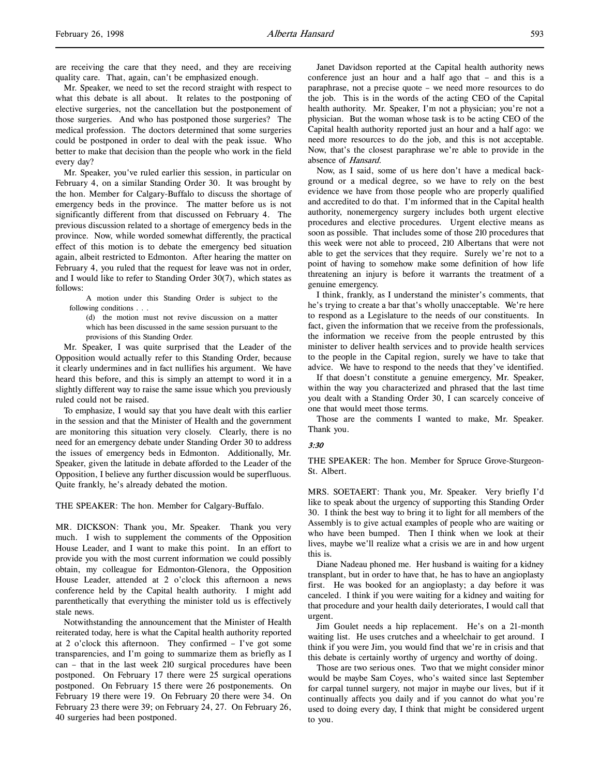are receiving the care that they need, and they are receiving quality care. That, again, can't be emphasized enough.

Mr. Speaker, we need to set the record straight with respect to what this debate is all about. It relates to the postponing of elective surgeries, not the cancellation but the postponement of those surgeries. And who has postponed those surgeries? The medical profession. The doctors determined that some surgeries could be postponed in order to deal with the peak issue. Who better to make that decision than the people who work in the field every day?

Mr. Speaker, you've ruled earlier this session, in particular on February 4, on a similar Standing Order 30. It was brought by the hon. Member for Calgary-Buffalo to discuss the shortage of emergency beds in the province. The matter before us is not significantly different from that discussed on February 4. The previous discussion related to a shortage of emergency beds in the province. Now, while worded somewhat differently, the practical effect of this motion is to debate the emergency bed situation again, albeit restricted to Edmonton. After hearing the matter on February 4, you ruled that the request for leave was not in order, and I would like to refer to Standing Order 30(7), which states as follows:

A motion under this Standing Order is subject to the following conditions . . .

(d) the motion must not revive discussion on a matter which has been discussed in the same session pursuant to the provisions of this Standing Order.

Mr. Speaker, I was quite surprised that the Leader of the Opposition would actually refer to this Standing Order, because it clearly undermines and in fact nullifies his argument. We have heard this before, and this is simply an attempt to word it in a slightly different way to raise the same issue which you previously ruled could not be raised.

To emphasize, I would say that you have dealt with this earlier in the session and that the Minister of Health and the government are monitoring this situation very closely. Clearly, there is no need for an emergency debate under Standing Order 30 to address the issues of emergency beds in Edmonton. Additionally, Mr. Speaker, given the latitude in debate afforded to the Leader of the Opposition, I believe any further discussion would be superfluous. Quite frankly, he's already debated the motion.

THE SPEAKER: The hon. Member for Calgary-Buffalo.

MR. DICKSON: Thank you, Mr. Speaker. Thank you very much. I wish to supplement the comments of the Opposition House Leader, and I want to make this point. In an effort to provide you with the most current information we could possibly obtain, my colleague for Edmonton-Glenora, the Opposition House Leader, attended at 2 o'clock this afternoon a news conference held by the Capital health authority. I might add parenthetically that everything the minister told us is effectively stale news.

Notwithstanding the announcement that the Minister of Health reiterated today, here is what the Capital health authority reported at 2 o'clock this afternoon. They confirmed – I've got some transparencies, and I'm going to summarize them as briefly as I can – that in the last week 210 surgical procedures have been postponed. On February 17 there were 25 surgical operations postponed. On February 15 there were 26 postponements. On February 19 there were 19. On February 20 there were 34. On February 23 there were 39; on February 24, 27. On February 26, 40 surgeries had been postponed.

Janet Davidson reported at the Capital health authority news conference just an hour and a half ago that – and this is a paraphrase, not a precise quote – we need more resources to do the job. This is in the words of the acting CEO of the Capital health authority. Mr. Speaker, I'm not a physician; you're not a physician. But the woman whose task is to be acting CEO of the Capital health authority reported just an hour and a half ago: we need more resources to do the job, and this is not acceptable. Now, that's the closest paraphrase we're able to provide in the absence of Hansard.

Now, as I said, some of us here don't have a medical background or a medical degree, so we have to rely on the best evidence we have from those people who are properly qualified and accredited to do that. I'm informed that in the Capital health authority, nonemergency surgery includes both urgent elective procedures and elective procedures. Urgent elective means as soon as possible. That includes some of those 210 procedures that this week were not able to proceed, 210 Albertans that were not able to get the services that they require. Surely we're not to a point of having to somehow make some definition of how life threatening an injury is before it warrants the treatment of a genuine emergency.

I think, frankly, as I understand the minister's comments, that he's trying to create a bar that's wholly unacceptable. We're here to respond as a Legislature to the needs of our constituents. In fact, given the information that we receive from the professionals, the information we receive from the people entrusted by this minister to deliver health services and to provide health services to the people in the Capital region, surely we have to take that advice. We have to respond to the needs that they've identified.

If that doesn't constitute a genuine emergency, Mr. Speaker, within the way you characterized and phrased that the last time you dealt with a Standing Order 30, I can scarcely conceive of one that would meet those terms.

Those are the comments I wanted to make, Mr. Speaker. Thank you.

#### 3:30

THE SPEAKER: The hon. Member for Spruce Grove-Sturgeon-St. Albert.

MRS. SOETAERT: Thank you, Mr. Speaker. Very briefly I'd like to speak about the urgency of supporting this Standing Order 30. I think the best way to bring it to light for all members of the Assembly is to give actual examples of people who are waiting or who have been bumped. Then I think when we look at their lives, maybe we'll realize what a crisis we are in and how urgent this is.

Diane Nadeau phoned me. Her husband is waiting for a kidney transplant, but in order to have that, he has to have an angioplasty first. He was booked for an angioplasty; a day before it was canceled. I think if you were waiting for a kidney and waiting for that procedure and your health daily deteriorates, I would call that urgent.

Jim Goulet needs a hip replacement. He's on a 21-month waiting list. He uses crutches and a wheelchair to get around. I think if you were Jim, you would find that we're in crisis and that this debate is certainly worthy of urgency and worthy of doing.

Those are two serious ones. Two that we might consider minor would be maybe Sam Coyes, who's waited since last September for carpal tunnel surgery, not major in maybe our lives, but if it continually affects you daily and if you cannot do what you're used to doing every day, I think that might be considered urgent to you.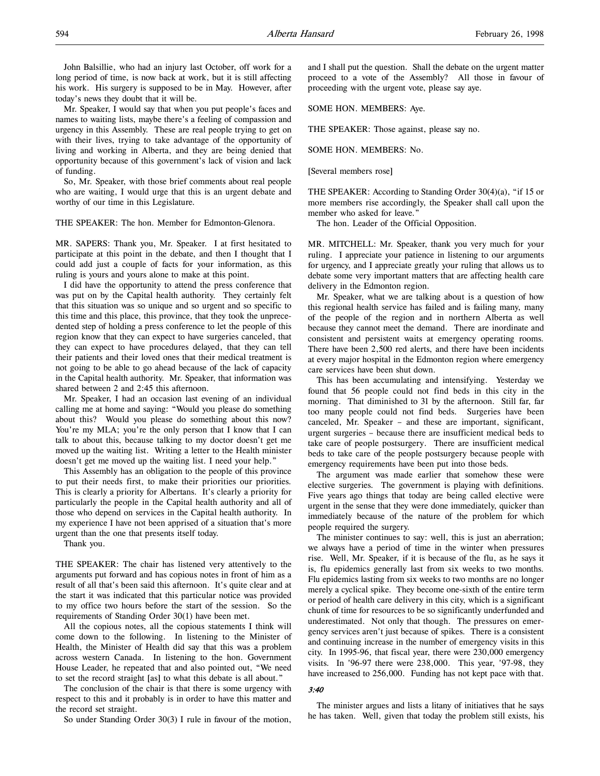John Balsillie, who had an injury last October, off work for a long period of time, is now back at work, but it is still affecting his work. His surgery is supposed to be in May. However, after today's news they doubt that it will be.

Mr. Speaker, I would say that when you put people's faces and names to waiting lists, maybe there's a feeling of compassion and urgency in this Assembly. These are real people trying to get on with their lives, trying to take advantage of the opportunity of living and working in Alberta, and they are being denied that opportunity because of this government's lack of vision and lack of funding.

So, Mr. Speaker, with those brief comments about real people who are waiting, I would urge that this is an urgent debate and worthy of our time in this Legislature.

THE SPEAKER: The hon. Member for Edmonton-Glenora.

MR. SAPERS: Thank you, Mr. Speaker. I at first hesitated to participate at this point in the debate, and then I thought that I could add just a couple of facts for your information, as this ruling is yours and yours alone to make at this point.

I did have the opportunity to attend the press conference that was put on by the Capital health authority. They certainly felt that this situation was so unique and so urgent and so specific to this time and this place, this province, that they took the unprecedented step of holding a press conference to let the people of this region know that they can expect to have surgeries canceled, that they can expect to have procedures delayed, that they can tell their patients and their loved ones that their medical treatment is not going to be able to go ahead because of the lack of capacity in the Capital health authority. Mr. Speaker, that information was shared between 2 and 2:45 this afternoon.

Mr. Speaker, I had an occasion last evening of an individual calling me at home and saying: "Would you please do something about this? Would you please do something about this now? You're my MLA; you're the only person that I know that I can talk to about this, because talking to my doctor doesn't get me moved up the waiting list. Writing a letter to the Health minister doesn't get me moved up the waiting list. I need your help."

This Assembly has an obligation to the people of this province to put their needs first, to make their priorities our priorities. This is clearly a priority for Albertans. It's clearly a priority for particularly the people in the Capital health authority and all of those who depend on services in the Capital health authority. In my experience I have not been apprised of a situation that's more urgent than the one that presents itself today.

Thank you.

THE SPEAKER: The chair has listened very attentively to the arguments put forward and has copious notes in front of him as a result of all that's been said this afternoon. It's quite clear and at the start it was indicated that this particular notice was provided to my office two hours before the start of the session. So the requirements of Standing Order 30(1) have been met.

All the copious notes, all the copious statements I think will come down to the following. In listening to the Minister of Health, the Minister of Health did say that this was a problem across western Canada. In listening to the hon. Government House Leader, he repeated that and also pointed out, "We need to set the record straight [as] to what this debate is all about."

The conclusion of the chair is that there is some urgency with respect to this and it probably is in order to have this matter and the record set straight.

So under Standing Order 30(3) I rule in favour of the motion,

and I shall put the question. Shall the debate on the urgent matter proceed to a vote of the Assembly? All those in favour of proceeding with the urgent vote, please say aye.

SOME HON. MEMBERS: Aye.

THE SPEAKER: Those against, please say no.

SOME HON. MEMBERS: No.

[Several members rose]

THE SPEAKER: According to Standing Order 30(4)(a), "if 15 or more members rise accordingly, the Speaker shall call upon the member who asked for leave."

The hon. Leader of the Official Opposition.

MR. MITCHELL: Mr. Speaker, thank you very much for your ruling. I appreciate your patience in listening to our arguments for urgency, and I appreciate greatly your ruling that allows us to debate some very important matters that are affecting health care delivery in the Edmonton region.

Mr. Speaker, what we are talking about is a question of how this regional health service has failed and is failing many, many of the people of the region and in northern Alberta as well because they cannot meet the demand. There are inordinate and consistent and persistent waits at emergency operating rooms. There have been 2,500 red alerts, and there have been incidents at every major hospital in the Edmonton region where emergency care services have been shut down.

This has been accumulating and intensifying. Yesterday we found that 56 people could not find beds in this city in the morning. That diminished to 31 by the afternoon. Still far, far too many people could not find beds. Surgeries have been canceled, Mr. Speaker – and these are important, significant, urgent surgeries – because there are insufficient medical beds to take care of people postsurgery. There are insufficient medical beds to take care of the people postsurgery because people with emergency requirements have been put into those beds.

The argument was made earlier that somehow these were elective surgeries. The government is playing with definitions. Five years ago things that today are being called elective were urgent in the sense that they were done immediately, quicker than immediately because of the nature of the problem for which people required the surgery.

The minister continues to say: well, this is just an aberration; we always have a period of time in the winter when pressures rise. Well, Mr. Speaker, if it is because of the flu, as he says it is, flu epidemics generally last from six weeks to two months. Flu epidemics lasting from six weeks to two months are no longer merely a cyclical spike. They become one-sixth of the entire term or period of health care delivery in this city, which is a significant chunk of time for resources to be so significantly underfunded and underestimated. Not only that though. The pressures on emergency services aren't just because of spikes. There is a consistent and continuing increase in the number of emergency visits in this city. In 1995-96, that fiscal year, there were 230,000 emergency visits. In '96-97 there were 238,000. This year, '97-98, they have increased to 256,000. Funding has not kept pace with that.

### 3:40

The minister argues and lists a litany of initiatives that he says he has taken. Well, given that today the problem still exists, his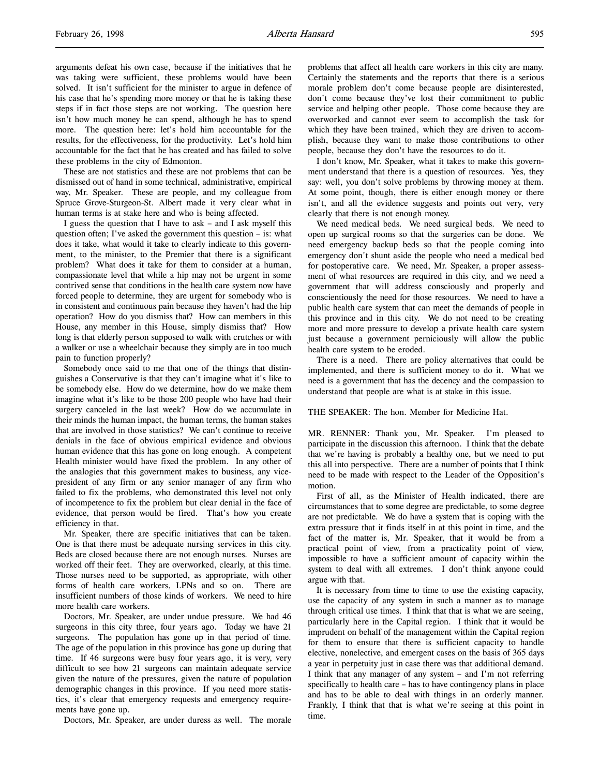arguments defeat his own case, because if the initiatives that he was taking were sufficient, these problems would have been solved. It isn't sufficient for the minister to argue in defence of his case that he's spending more money or that he is taking these steps if in fact those steps are not working. The question here isn't how much money he can spend, although he has to spend more. The question here: let's hold him accountable for the results, for the effectiveness, for the productivity. Let's hold him accountable for the fact that he has created and has failed to solve these problems in the city of Edmonton.

These are not statistics and these are not problems that can be dismissed out of hand in some technical, administrative, empirical way, Mr. Speaker. These are people, and my colleague from Spruce Grove-Sturgeon-St. Albert made it very clear what in human terms is at stake here and who is being affected.

I guess the question that I have to ask – and I ask myself this question often; I've asked the government this question – is: what does it take, what would it take to clearly indicate to this government, to the minister, to the Premier that there is a significant problem? What does it take for them to consider at a human, compassionate level that while a hip may not be urgent in some contrived sense that conditions in the health care system now have forced people to determine, they are urgent for somebody who is in consistent and continuous pain because they haven't had the hip operation? How do you dismiss that? How can members in this House, any member in this House, simply dismiss that? How long is that elderly person supposed to walk with crutches or with a walker or use a wheelchair because they simply are in too much pain to function properly?

Somebody once said to me that one of the things that distinguishes a Conservative is that they can't imagine what it's like to be somebody else. How do we determine, how do we make them imagine what it's like to be those 200 people who have had their surgery canceled in the last week? How do we accumulate in their minds the human impact, the human terms, the human stakes that are involved in those statistics? We can't continue to receive denials in the face of obvious empirical evidence and obvious human evidence that this has gone on long enough. A competent Health minister would have fixed the problem. In any other of the analogies that this government makes to business, any vicepresident of any firm or any senior manager of any firm who failed to fix the problems, who demonstrated this level not only of incompetence to fix the problem but clear denial in the face of evidence, that person would be fired. That's how you create efficiency in that.

Mr. Speaker, there are specific initiatives that can be taken. One is that there must be adequate nursing services in this city. Beds are closed because there are not enough nurses. Nurses are worked off their feet. They are overworked, clearly, at this time. Those nurses need to be supported, as appropriate, with other forms of health care workers, LPNs and so on. There are insufficient numbers of those kinds of workers. We need to hire more health care workers.

Doctors, Mr. Speaker, are under undue pressure. We had 46 surgeons in this city three, four years ago. Today we have 21 surgeons. The population has gone up in that period of time. The age of the population in this province has gone up during that time. If 46 surgeons were busy four years ago, it is very, very difficult to see how 21 surgeons can maintain adequate service given the nature of the pressures, given the nature of population demographic changes in this province. If you need more statistics, it's clear that emergency requests and emergency requirements have gone up.

Doctors, Mr. Speaker, are under duress as well. The morale

problems that affect all health care workers in this city are many. Certainly the statements and the reports that there is a serious morale problem don't come because people are disinterested, don't come because they've lost their commitment to public service and helping other people. Those come because they are overworked and cannot ever seem to accomplish the task for which they have been trained, which they are driven to accomplish, because they want to make those contributions to other people, because they don't have the resources to do it.

I don't know, Mr. Speaker, what it takes to make this government understand that there is a question of resources. Yes, they say: well, you don't solve problems by throwing money at them. At some point, though, there is either enough money or there isn't, and all the evidence suggests and points out very, very clearly that there is not enough money.

We need medical beds. We need surgical beds. We need to open up surgical rooms so that the surgeries can be done. We need emergency backup beds so that the people coming into emergency don't shunt aside the people who need a medical bed for postoperative care. We need, Mr. Speaker, a proper assessment of what resources are required in this city, and we need a government that will address consciously and properly and conscientiously the need for those resources. We need to have a public health care system that can meet the demands of people in this province and in this city. We do not need to be creating more and more pressure to develop a private health care system just because a government perniciously will allow the public health care system to be eroded.

There is a need. There are policy alternatives that could be implemented, and there is sufficient money to do it. What we need is a government that has the decency and the compassion to understand that people are what is at stake in this issue.

#### THE SPEAKER: The hon. Member for Medicine Hat.

MR. RENNER: Thank you, Mr. Speaker. I'm pleased to participate in the discussion this afternoon. I think that the debate that we're having is probably a healthy one, but we need to put this all into perspective. There are a number of points that I think need to be made with respect to the Leader of the Opposition's motion.

First of all, as the Minister of Health indicated, there are circumstances that to some degree are predictable, to some degree are not predictable. We do have a system that is coping with the extra pressure that it finds itself in at this point in time, and the fact of the matter is, Mr. Speaker, that it would be from a practical point of view, from a practicality point of view, impossible to have a sufficient amount of capacity within the system to deal with all extremes. I don't think anyone could argue with that.

It is necessary from time to time to use the existing capacity, use the capacity of any system in such a manner as to manage through critical use times. I think that that is what we are seeing, particularly here in the Capital region. I think that it would be imprudent on behalf of the management within the Capital region for them to ensure that there is sufficient capacity to handle elective, nonelective, and emergent cases on the basis of 365 days a year in perpetuity just in case there was that additional demand. I think that any manager of any system – and I'm not referring specifically to health care – has to have contingency plans in place and has to be able to deal with things in an orderly manner. Frankly, I think that that is what we're seeing at this point in time.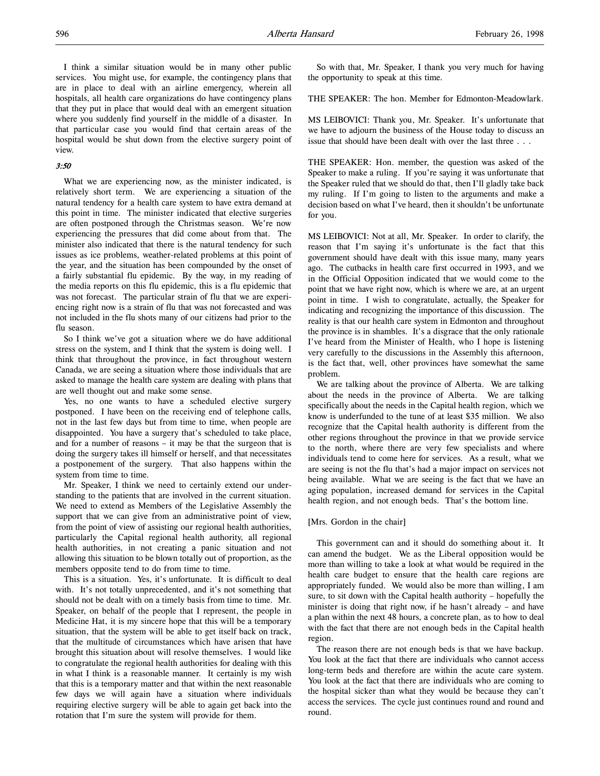I think a similar situation would be in many other public services. You might use, for example, the contingency plans that are in place to deal with an airline emergency, wherein all hospitals, all health care organizations do have contingency plans that they put in place that would deal with an emergent situation where you suddenly find yourself in the middle of a disaster. In that particular case you would find that certain areas of the hospital would be shut down from the elective surgery point of view.

### 3:50

What we are experiencing now, as the minister indicated, is relatively short term. We are experiencing a situation of the natural tendency for a health care system to have extra demand at this point in time. The minister indicated that elective surgeries are often postponed through the Christmas season. We're now experiencing the pressures that did come about from that. The minister also indicated that there is the natural tendency for such issues as ice problems, weather-related problems at this point of the year, and the situation has been compounded by the onset of a fairly substantial flu epidemic. By the way, in my reading of the media reports on this flu epidemic, this is a flu epidemic that was not forecast. The particular strain of flu that we are experiencing right now is a strain of flu that was not forecasted and was not included in the flu shots many of our citizens had prior to the flu season.

So I think we've got a situation where we do have additional stress on the system, and I think that the system is doing well. I think that throughout the province, in fact throughout western Canada, we are seeing a situation where those individuals that are asked to manage the health care system are dealing with plans that are well thought out and make some sense.

Yes, no one wants to have a scheduled elective surgery postponed. I have been on the receiving end of telephone calls, not in the last few days but from time to time, when people are disappointed. You have a surgery that's scheduled to take place, and for a number of reasons – it may be that the surgeon that is doing the surgery takes ill himself or herself, and that necessitates a postponement of the surgery. That also happens within the system from time to time.

Mr. Speaker, I think we need to certainly extend our understanding to the patients that are involved in the current situation. We need to extend as Members of the Legislative Assembly the support that we can give from an administrative point of view, from the point of view of assisting our regional health authorities, particularly the Capital regional health authority, all regional health authorities, in not creating a panic situation and not allowing this situation to be blown totally out of proportion, as the members opposite tend to do from time to time.

This is a situation. Yes, it's unfortunate. It is difficult to deal with. It's not totally unprecedented, and it's not something that should not be dealt with on a timely basis from time to time. Mr. Speaker, on behalf of the people that I represent, the people in Medicine Hat, it is my sincere hope that this will be a temporary situation, that the system will be able to get itself back on track, that the multitude of circumstances which have arisen that have brought this situation about will resolve themselves. I would like to congratulate the regional health authorities for dealing with this in what I think is a reasonable manner. It certainly is my wish that this is a temporary matter and that within the next reasonable few days we will again have a situation where individuals requiring elective surgery will be able to again get back into the rotation that I'm sure the system will provide for them.

So with that, Mr. Speaker, I thank you very much for having the opportunity to speak at this time.

THE SPEAKER: The hon. Member for Edmonton-Meadowlark.

MS LEIBOVICI: Thank you, Mr. Speaker. It's unfortunate that we have to adjourn the business of the House today to discuss an issue that should have been dealt with over the last three . . .

THE SPEAKER: Hon. member, the question was asked of the Speaker to make a ruling. If you're saying it was unfortunate that the Speaker ruled that we should do that, then I'll gladly take back my ruling. If I'm going to listen to the arguments and make a decision based on what I've heard, then it shouldn't be unfortunate for you.

MS LEIBOVICI: Not at all, Mr. Speaker. In order to clarify, the reason that I'm saying it's unfortunate is the fact that this government should have dealt with this issue many, many years ago. The cutbacks in health care first occurred in 1993, and we in the Official Opposition indicated that we would come to the point that we have right now, which is where we are, at an urgent point in time. I wish to congratulate, actually, the Speaker for indicating and recognizing the importance of this discussion. The reality is that our health care system in Edmonton and throughout the province is in shambles. It's a disgrace that the only rationale I've heard from the Minister of Health, who I hope is listening very carefully to the discussions in the Assembly this afternoon, is the fact that, well, other provinces have somewhat the same problem.

We are talking about the province of Alberta. We are talking about the needs in the province of Alberta. We are talking specifically about the needs in the Capital health region, which we know is underfunded to the tune of at least \$35 million. We also recognize that the Capital health authority is different from the other regions throughout the province in that we provide service to the north, where there are very few specialists and where individuals tend to come here for services. As a result, what we are seeing is not the flu that's had a major impact on services not being available. What we are seeing is the fact that we have an aging population, increased demand for services in the Capital health region, and not enough beds. That's the bottom line.

#### [Mrs. Gordon in the chair]

This government can and it should do something about it. It can amend the budget. We as the Liberal opposition would be more than willing to take a look at what would be required in the health care budget to ensure that the health care regions are appropriately funded. We would also be more than willing, I am sure, to sit down with the Capital health authority – hopefully the minister is doing that right now, if he hasn't already – and have a plan within the next 48 hours, a concrete plan, as to how to deal with the fact that there are not enough beds in the Capital health region.

The reason there are not enough beds is that we have backup. You look at the fact that there are individuals who cannot access long-term beds and therefore are within the acute care system. You look at the fact that there are individuals who are coming to the hospital sicker than what they would be because they can't access the services. The cycle just continues round and round and round.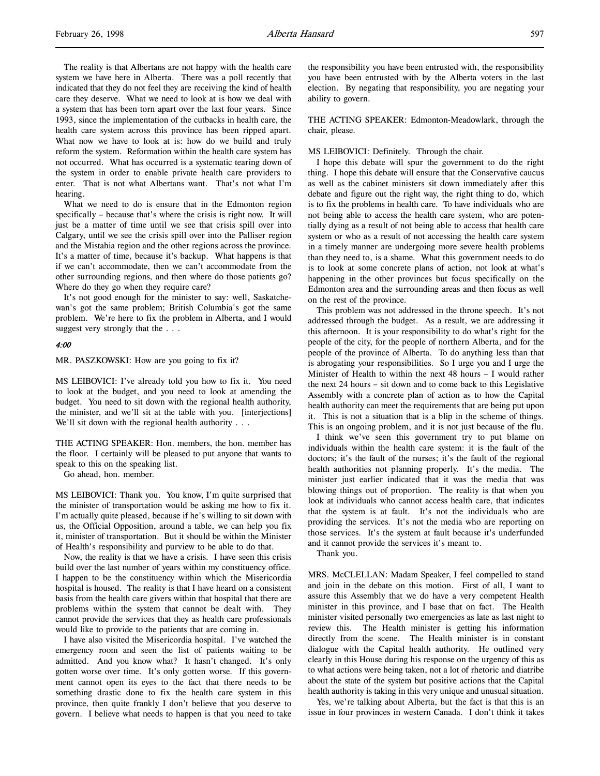The reality is that Albertans are not happy with the health care system we have here in Alberta. There was a poll recently that indicated that they do not feel they are receiving the kind of health care they deserve. What we need to look at is how we deal with a system that has been torn apart over the last four years. Since 1993, since the implementation of the cutbacks in health care, the health care system across this province has been ripped apart. What now we have to look at is: how do we build and truly reform the system. Reformation within the health care system has not occurred. What has occurred is a systematic tearing down of the system in order to enable private health care providers to enter. That is not what Albertans want. That's not what I'm hearing.

What we need to do is ensure that in the Edmonton region specifically – because that's where the crisis is right now. It will just be a matter of time until we see that crisis spill over into Calgary, until we see the crisis spill over into the Palliser region and the Mistahia region and the other regions across the province. It's a matter of time, because it's backup. What happens is that if we can't accommodate, then we can't accommodate from the other surrounding regions, and then where do those patients go? Where do they go when they require care?

It's not good enough for the minister to say: well, Saskatchewan's got the same problem; British Columbia's got the same problem. We're here to fix the problem in Alberta, and I would suggest very strongly that the . . .

#### 4:00

MR. PASZKOWSKI: How are you going to fix it?

MS LEIBOVICI: I've already told you how to fix it. You need to look at the budget, and you need to look at amending the budget. You need to sit down with the regional health authority, the minister, and we'll sit at the table with you. [interjections] We'll sit down with the regional health authority . . .

THE ACTING SPEAKER: Hon. members, the hon. member has the floor. I certainly will be pleased to put anyone that wants to speak to this on the speaking list.

Go ahead, hon. member.

MS LEIBOVICI: Thank you. You know, I'm quite surprised that the minister of transportation would be asking me how to fix it. I'm actually quite pleased, because if he's willing to sit down with us, the Official Opposition, around a table, we can help you fix it, minister of transportation. But it should be within the Minister of Health's responsibility and purview to be able to do that.

Now, the reality is that we have a crisis. I have seen this crisis build over the last number of years within my constituency office. I happen to be the constituency within which the Misericordia hospital is housed. The reality is that I have heard on a consistent basis from the health care givers within that hospital that there are problems within the system that cannot be dealt with. They cannot provide the services that they as health care professionals would like to provide to the patients that are coming in.

I have also visited the Misericordia hospital. I've watched the emergency room and seen the list of patients waiting to be admitted. And you know what? It hasn't changed. It's only gotten worse over time. It's only gotten worse. If this government cannot open its eyes to the fact that there needs to be something drastic done to fix the health care system in this province, then quite frankly I don't believe that you deserve to govern. I believe what needs to happen is that you need to take

the responsibility you have been entrusted with, the responsibility you have been entrusted with by the Alberta voters in the last election. By negating that responsibility, you are negating your ability to govern.

THE ACTING SPEAKER: Edmonton-Meadowlark, through the chair, please.

### MS LEIBOVICI: Definitely. Through the chair.

I hope this debate will spur the government to do the right thing. I hope this debate will ensure that the Conservative caucus as well as the cabinet ministers sit down immediately after this debate and figure out the right way, the right thing to do, which is to fix the problems in health care. To have individuals who are not being able to access the health care system, who are potentially dying as a result of not being able to access that health care system or who as a result of not accessing the health care system in a timely manner are undergoing more severe health problems than they need to, is a shame. What this government needs to do is to look at some concrete plans of action, not look at what's happening in the other provinces but focus specifically on the Edmonton area and the surrounding areas and then focus as well on the rest of the province.

This problem was not addressed in the throne speech. It's not addressed through the budget. As a result, we are addressing it this afternoon. It is your responsibility to do what's right for the people of the city, for the people of northern Alberta, and for the people of the province of Alberta. To do anything less than that is abrogating your responsibilities. So I urge you and I urge the Minister of Health to within the next 48 hours – I would rather the next 24 hours – sit down and to come back to this Legislative Assembly with a concrete plan of action as to how the Capital health authority can meet the requirements that are being put upon it. This is not a situation that is a blip in the scheme of things. This is an ongoing problem, and it is not just because of the flu.

I think we've seen this government try to put blame on individuals within the health care system: it is the fault of the doctors; it's the fault of the nurses; it's the fault of the regional health authorities not planning properly. It's the media. The minister just earlier indicated that it was the media that was blowing things out of proportion. The reality is that when you look at individuals who cannot access health care, that indicates that the system is at fault. It's not the individuals who are providing the services. It's not the media who are reporting on those services. It's the system at fault because it's underfunded and it cannot provide the services it's meant to.

Thank you.

MRS. McCLELLAN: Madam Speaker, I feel compelled to stand and join in the debate on this motion. First of all, I want to assure this Assembly that we do have a very competent Health minister in this province, and I base that on fact. The Health minister visited personally two emergencies as late as last night to review this. The Health minister is getting his information directly from the scene. The Health minister is in constant dialogue with the Capital health authority. He outlined very clearly in this House during his response on the urgency of this as to what actions were being taken, not a lot of rhetoric and diatribe about the state of the system but positive actions that the Capital health authority is taking in this very unique and unusual situation.

Yes, we're talking about Alberta, but the fact is that this is an issue in four provinces in western Canada. I don't think it takes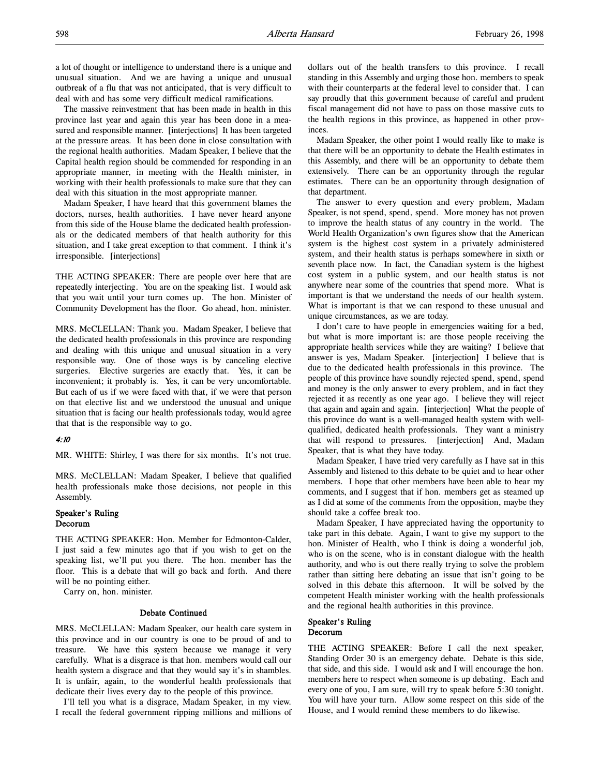The massive reinvestment that has been made in health in this province last year and again this year has been done in a measured and responsible manner. [interjections] It has been targeted at the pressure areas. It has been done in close consultation with the regional health authorities. Madam Speaker, I believe that the Capital health region should be commended for responding in an appropriate manner, in meeting with the Health minister, in working with their health professionals to make sure that they can deal with this situation in the most appropriate manner.

Madam Speaker, I have heard that this government blames the doctors, nurses, health authorities. I have never heard anyone from this side of the House blame the dedicated health professionals or the dedicated members of that health authority for this situation, and I take great exception to that comment. I think it's irresponsible. [interjections]

THE ACTING SPEAKER: There are people over here that are repeatedly interjecting. You are on the speaking list. I would ask that you wait until your turn comes up. The hon. Minister of Community Development has the floor. Go ahead, hon. minister.

MRS. McCLELLAN: Thank you. Madam Speaker, I believe that the dedicated health professionals in this province are responding and dealing with this unique and unusual situation in a very responsible way. One of those ways is by canceling elective surgeries. Elective surgeries are exactly that. Yes, it can be inconvenient; it probably is. Yes, it can be very uncomfortable. But each of us if we were faced with that, if we were that person on that elective list and we understood the unusual and unique situation that is facing our health professionals today, would agree that that is the responsible way to go.

#### 4:10

MR. WHITE: Shirley, I was there for six months. It's not true.

MRS. McCLELLAN: Madam Speaker, I believe that qualified health professionals make those decisions, not people in this Assembly.

### Speaker's Ruling Decorum

THE ACTING SPEAKER: Hon. Member for Edmonton-Calder, I just said a few minutes ago that if you wish to get on the speaking list, we'll put you there. The hon. member has the floor. This is a debate that will go back and forth. And there will be no pointing either.

Carry on, hon. minister.

### Debate Continued

MRS. McCLELLAN: Madam Speaker, our health care system in this province and in our country is one to be proud of and to treasure. We have this system because we manage it very carefully. What is a disgrace is that hon. members would call our health system a disgrace and that they would say it's in shambles. It is unfair, again, to the wonderful health professionals that dedicate their lives every day to the people of this province.

I'll tell you what is a disgrace, Madam Speaker, in my view. I recall the federal government ripping millions and millions of dollars out of the health transfers to this province. I recall standing in this Assembly and urging those hon. members to speak with their counterparts at the federal level to consider that. I can say proudly that this government because of careful and prudent fiscal management did not have to pass on those massive cuts to the health regions in this province, as happened in other provinces.

Madam Speaker, the other point I would really like to make is that there will be an opportunity to debate the Health estimates in this Assembly, and there will be an opportunity to debate them extensively. There can be an opportunity through the regular estimates. There can be an opportunity through designation of that department.

The answer to every question and every problem, Madam Speaker, is not spend, spend, spend. More money has not proven to improve the health status of any country in the world. The World Health Organization's own figures show that the American system is the highest cost system in a privately administered system, and their health status is perhaps somewhere in sixth or seventh place now. In fact, the Canadian system is the highest cost system in a public system, and our health status is not anywhere near some of the countries that spend more. What is important is that we understand the needs of our health system. What is important is that we can respond to these unusual and unique circumstances, as we are today.

I don't care to have people in emergencies waiting for a bed, but what is more important is: are those people receiving the appropriate health services while they are waiting? I believe that answer is yes, Madam Speaker. [interjection] I believe that is due to the dedicated health professionals in this province. The people of this province have soundly rejected spend, spend, spend and money is the only answer to every problem, and in fact they rejected it as recently as one year ago. I believe they will reject that again and again and again. [interjection] What the people of this province do want is a well-managed health system with wellqualified, dedicated health professionals. They want a ministry that will respond to pressures. [interjection] And, Madam Speaker, that is what they have today.

Madam Speaker, I have tried very carefully as I have sat in this Assembly and listened to this debate to be quiet and to hear other members. I hope that other members have been able to hear my comments, and I suggest that if hon. members get as steamed up as I did at some of the comments from the opposition, maybe they should take a coffee break too.

Madam Speaker, I have appreciated having the opportunity to take part in this debate. Again, I want to give my support to the hon. Minister of Health, who I think is doing a wonderful job, who is on the scene, who is in constant dialogue with the health authority, and who is out there really trying to solve the problem rather than sitting here debating an issue that isn't going to be solved in this debate this afternoon. It will be solved by the competent Health minister working with the health professionals and the regional health authorities in this province.

### Speaker's Ruling Decorum

THE ACTING SPEAKER: Before I call the next speaker, Standing Order 30 is an emergency debate. Debate is this side, that side, and this side. I would ask and I will encourage the hon. members here to respect when someone is up debating. Each and every one of you, I am sure, will try to speak before 5:30 tonight. You will have your turn. Allow some respect on this side of the House, and I would remind these members to do likewise.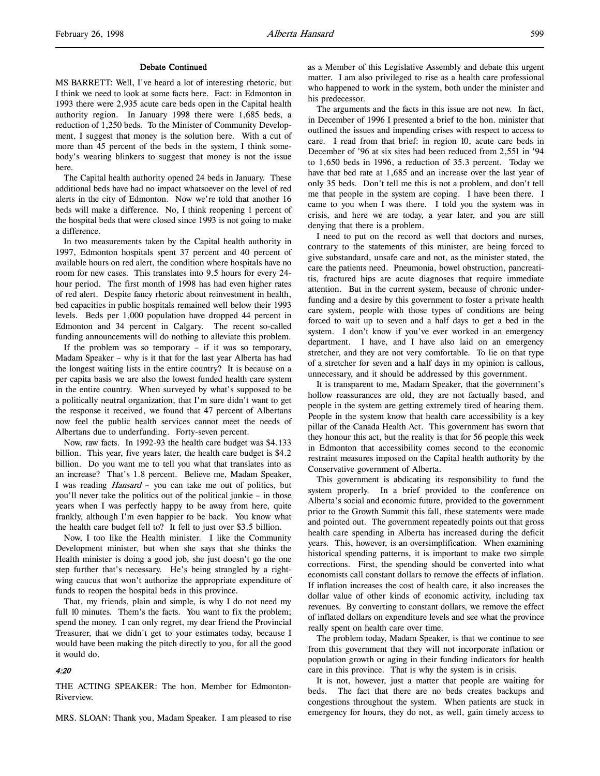#### Debate Continued

MS BARRETT: Well, I've heard a lot of interesting rhetoric, but I think we need to look at some facts here. Fact: in Edmonton in 1993 there were 2,935 acute care beds open in the Capital health authority region. In January 1998 there were 1,685 beds, a reduction of 1,250 beds. To the Minister of Community Development, I suggest that money is the solution here. With a cut of more than 45 percent of the beds in the system, I think somebody's wearing blinkers to suggest that money is not the issue here.

The Capital health authority opened 24 beds in January. These additional beds have had no impact whatsoever on the level of red alerts in the city of Edmonton. Now we're told that another 16 beds will make a difference. No, I think reopening 1 percent of the hospital beds that were closed since 1993 is not going to make a difference.

In two measurements taken by the Capital health authority in 1997, Edmonton hospitals spent 37 percent and 40 percent of available hours on red alert, the condition where hospitals have no room for new cases. This translates into 9.5 hours for every 24 hour period. The first month of 1998 has had even higher rates of red alert. Despite fancy rhetoric about reinvestment in health, bed capacities in public hospitals remained well below their 1993 levels. Beds per 1,000 population have dropped 44 percent in Edmonton and 34 percent in Calgary. The recent so-called funding announcements will do nothing to alleviate this problem.

If the problem was so temporary – if it was so temporary, Madam Speaker – why is it that for the last year Alberta has had the longest waiting lists in the entire country? It is because on a per capita basis we are also the lowest funded health care system in the entire country. When surveyed by what's supposed to be a politically neutral organization, that I'm sure didn't want to get the response it received, we found that 47 percent of Albertans now feel the public health services cannot meet the needs of Albertans due to underfunding. Forty-seven percent.

Now, raw facts. In 1992-93 the health care budget was \$4.133 billion. This year, five years later, the health care budget is \$4.2 billion. Do you want me to tell you what that translates into as an increase? That's 1.8 percent. Believe me, Madam Speaker, I was reading Hansard – you can take me out of politics, but you'll never take the politics out of the political junkie – in those years when I was perfectly happy to be away from here, quite frankly, although I'm even happier to be back. You know what the health care budget fell to? It fell to just over \$3.5 billion.

Now, I too like the Health minister. I like the Community Development minister, but when she says that she thinks the Health minister is doing a good job, she just doesn't go the one step further that's necessary. He's being strangled by a rightwing caucus that won't authorize the appropriate expenditure of funds to reopen the hospital beds in this province.

That, my friends, plain and simple, is why I do not need my full 10 minutes. Them's the facts. You want to fix the problem; spend the money. I can only regret, my dear friend the Provincial Treasurer, that we didn't get to your estimates today, because I would have been making the pitch directly to you, for all the good it would do.

### 4:20

THE ACTING SPEAKER: The hon. Member for Edmonton-Riverview.

MRS. SLOAN: Thank you, Madam Speaker. I am pleased to rise

as a Member of this Legislative Assembly and debate this urgent matter. I am also privileged to rise as a health care professional who happened to work in the system, both under the minister and his predecessor.

The arguments and the facts in this issue are not new. In fact, in December of 1996 I presented a brief to the hon. minister that outlined the issues and impending crises with respect to access to care. I read from that brief: in region 10, acute care beds in December of '96 at six sites had been reduced from 2,551 in '94 to 1,650 beds in 1996, a reduction of 35.3 percent. Today we have that bed rate at 1,685 and an increase over the last year of only 35 beds. Don't tell me this is not a problem, and don't tell me that people in the system are coping. I have been there. I came to you when I was there. I told you the system was in crisis, and here we are today, a year later, and you are still denying that there is a problem.

I need to put on the record as well that doctors and nurses, contrary to the statements of this minister, are being forced to give substandard, unsafe care and not, as the minister stated, the care the patients need. Pneumonia, bowel obstruction, pancreatitis, fractured hips are acute diagnoses that require immediate attention. But in the current system, because of chronic underfunding and a desire by this government to foster a private health care system, people with those types of conditions are being forced to wait up to seven and a half days to get a bed in the system. I don't know if you've ever worked in an emergency department. I have, and I have also laid on an emergency stretcher, and they are not very comfortable. To lie on that type of a stretcher for seven and a half days in my opinion is callous, unnecessary, and it should be addressed by this government.

It is transparent to me, Madam Speaker, that the government's hollow reassurances are old, they are not factually based, and people in the system are getting extremely tired of hearing them. People in the system know that health care accessibility is a key pillar of the Canada Health Act. This government has sworn that they honour this act, but the reality is that for 56 people this week in Edmonton that accessibility comes second to the economic restraint measures imposed on the Capital health authority by the Conservative government of Alberta.

This government is abdicating its responsibility to fund the system properly. In a brief provided to the conference on Alberta's social and economic future, provided to the government prior to the Growth Summit this fall, these statements were made and pointed out. The government repeatedly points out that gross health care spending in Alberta has increased during the deficit years. This, however, is an oversimplification. When examining historical spending patterns, it is important to make two simple corrections. First, the spending should be converted into what economists call constant dollars to remove the effects of inflation. If inflation increases the cost of health care, it also increases the dollar value of other kinds of economic activity, including tax revenues. By converting to constant dollars, we remove the effect of inflated dollars on expenditure levels and see what the province really spent on health care over time.

The problem today, Madam Speaker, is that we continue to see from this government that they will not incorporate inflation or population growth or aging in their funding indicators for health care in this province. That is why the system is in crisis.

It is not, however, just a matter that people are waiting for beds. The fact that there are no beds creates backups and congestions throughout the system. When patients are stuck in emergency for hours, they do not, as well, gain timely access to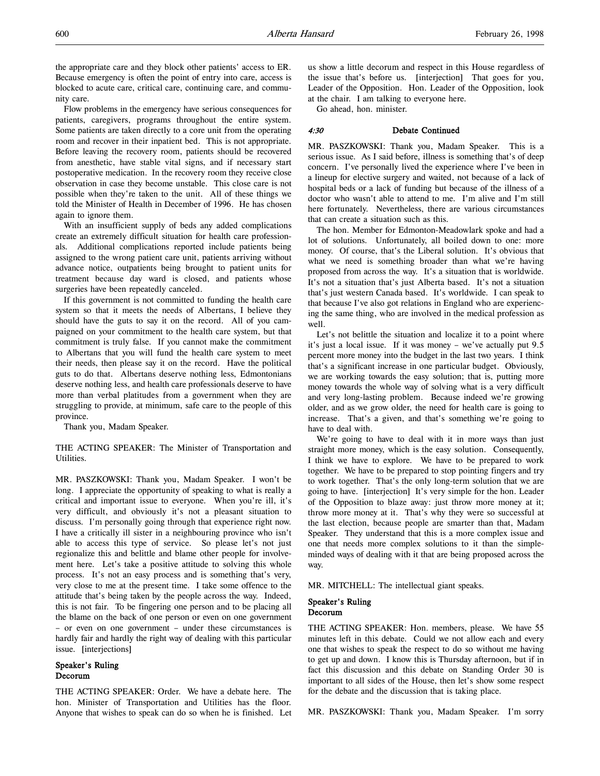the appropriate care and they block other patients' access to ER. Because emergency is often the point of entry into care, access is blocked to acute care, critical care, continuing care, and community care.

Flow problems in the emergency have serious consequences for patients, caregivers, programs throughout the entire system. Some patients are taken directly to a core unit from the operating room and recover in their inpatient bed. This is not appropriate. Before leaving the recovery room, patients should be recovered from anesthetic, have stable vital signs, and if necessary start postoperative medication. In the recovery room they receive close observation in case they become unstable. This close care is not possible when they're taken to the unit. All of these things we told the Minister of Health in December of 1996. He has chosen again to ignore them.

With an insufficient supply of beds any added complications create an extremely difficult situation for health care professionals. Additional complications reported include patients being assigned to the wrong patient care unit, patients arriving without advance notice, outpatients being brought to patient units for treatment because day ward is closed, and patients whose surgeries have been repeatedly canceled.

If this government is not committed to funding the health care system so that it meets the needs of Albertans, I believe they should have the guts to say it on the record. All of you campaigned on your commitment to the health care system, but that commitment is truly false. If you cannot make the commitment to Albertans that you will fund the health care system to meet their needs, then please say it on the record. Have the political guts to do that. Albertans deserve nothing less, Edmontonians deserve nothing less, and health care professionals deserve to have more than verbal platitudes from a government when they are struggling to provide, at minimum, safe care to the people of this province.

Thank you, Madam Speaker.

THE ACTING SPEAKER: The Minister of Transportation and Utilities.

MR. PASZKOWSKI: Thank you, Madam Speaker. I won't be long. I appreciate the opportunity of speaking to what is really a critical and important issue to everyone. When you're ill, it's very difficult, and obviously it's not a pleasant situation to discuss. I'm personally going through that experience right now. I have a critically ill sister in a neighbouring province who isn't able to access this type of service. So please let's not just regionalize this and belittle and blame other people for involvement here. Let's take a positive attitude to solving this whole process. It's not an easy process and is something that's very, very close to me at the present time. I take some offence to the attitude that's being taken by the people across the way. Indeed, this is not fair. To be fingering one person and to be placing all the blame on the back of one person or even on one government – or even on one government – under these circumstances is hardly fair and hardly the right way of dealing with this particular issue. [interjections]

### Speaker's Ruling Decorum

THE ACTING SPEAKER: Order. We have a debate here. The hon. Minister of Transportation and Utilities has the floor. Anyone that wishes to speak can do so when he is finished. Let us show a little decorum and respect in this House regardless of the issue that's before us. [interjection] That goes for you, Leader of the Opposition. Hon. Leader of the Opposition, look at the chair. I am talking to everyone here.

Go ahead, hon. minister.

### 4:30 Debate Continued

MR. PASZKOWSKI: Thank you, Madam Speaker. This is a serious issue. As I said before, illness is something that's of deep concern. I've personally lived the experience where I've been in a lineup for elective surgery and waited, not because of a lack of hospital beds or a lack of funding but because of the illness of a doctor who wasn't able to attend to me. I'm alive and I'm still here fortunately. Nevertheless, there are various circumstances that can create a situation such as this.

The hon. Member for Edmonton-Meadowlark spoke and had a lot of solutions. Unfortunately, all boiled down to one: more money. Of course, that's the Liberal solution. It's obvious that what we need is something broader than what we're having proposed from across the way. It's a situation that is worldwide. It's not a situation that's just Alberta based. It's not a situation that's just western Canada based. It's worldwide. I can speak to that because I've also got relations in England who are experiencing the same thing, who are involved in the medical profession as well.

Let's not belittle the situation and localize it to a point where it's just a local issue. If it was money – we've actually put 9.5 percent more money into the budget in the last two years. I think that's a significant increase in one particular budget. Obviously, we are working towards the easy solution; that is, putting more money towards the whole way of solving what is a very difficult and very long-lasting problem. Because indeed we're growing older, and as we grow older, the need for health care is going to increase. That's a given, and that's something we're going to have to deal with.

We're going to have to deal with it in more ways than just straight more money, which is the easy solution. Consequently, I think we have to explore. We have to be prepared to work together. We have to be prepared to stop pointing fingers and try to work together. That's the only long-term solution that we are going to have. [interjection] It's very simple for the hon. Leader of the Opposition to blaze away: just throw more money at it; throw more money at it. That's why they were so successful at the last election, because people are smarter than that, Madam Speaker. They understand that this is a more complex issue and one that needs more complex solutions to it than the simpleminded ways of dealing with it that are being proposed across the way.

MR. MITCHELL: The intellectual giant speaks.

### Speaker's Ruling Decorum

THE ACTING SPEAKER: Hon. members, please. We have 55 minutes left in this debate. Could we not allow each and every one that wishes to speak the respect to do so without me having to get up and down. I know this is Thursday afternoon, but if in fact this discussion and this debate on Standing Order 30 is important to all sides of the House, then let's show some respect for the debate and the discussion that is taking place.

MR. PASZKOWSKI: Thank you, Madam Speaker. I'm sorry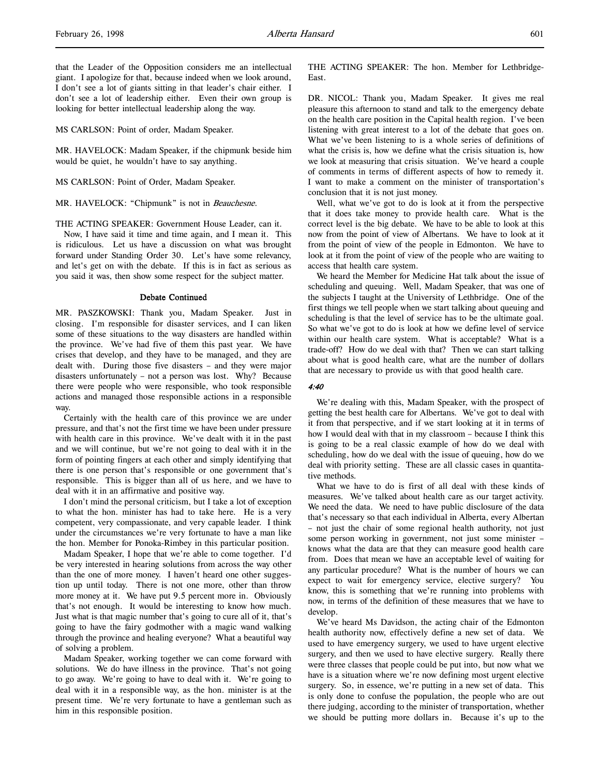MS CARLSON: Point of order, Madam Speaker.

MR. HAVELOCK: Madam Speaker, if the chipmunk beside him would be quiet, he wouldn't have to say anything.

MS CARLSON: Point of Order, Madam Speaker.

MR. HAVELOCK: "Chipmunk" is not in Beauchesne.

THE ACTING SPEAKER: Government House Leader, can it.

Now, I have said it time and time again, and I mean it. This is ridiculous. Let us have a discussion on what was brought forward under Standing Order 30. Let's have some relevancy, and let's get on with the debate. If this is in fact as serious as you said it was, then show some respect for the subject matter.

#### Debate Continued

MR. PASZKOWSKI: Thank you, Madam Speaker. Just in closing. I'm responsible for disaster services, and I can liken some of these situations to the way disasters are handled within the province. We've had five of them this past year. We have crises that develop, and they have to be managed, and they are dealt with. During those five disasters – and they were major disasters unfortunately – not a person was lost. Why? Because there were people who were responsible, who took responsible actions and managed those responsible actions in a responsible way.

Certainly with the health care of this province we are under pressure, and that's not the first time we have been under pressure with health care in this province. We've dealt with it in the past and we will continue, but we're not going to deal with it in the form of pointing fingers at each other and simply identifying that there is one person that's responsible or one government that's responsible. This is bigger than all of us here, and we have to deal with it in an affirmative and positive way.

I don't mind the personal criticism, but I take a lot of exception to what the hon. minister has had to take here. He is a very competent, very compassionate, and very capable leader. I think under the circumstances we're very fortunate to have a man like the hon. Member for Ponoka-Rimbey in this particular position.

Madam Speaker, I hope that we're able to come together. I'd be very interested in hearing solutions from across the way other than the one of more money. I haven't heard one other suggestion up until today. There is not one more, other than throw more money at it. We have put 9.5 percent more in. Obviously that's not enough. It would be interesting to know how much. Just what is that magic number that's going to cure all of it, that's going to have the fairy godmother with a magic wand walking through the province and healing everyone? What a beautiful way of solving a problem.

Madam Speaker, working together we can come forward with solutions. We do have illness in the province. That's not going to go away. We're going to have to deal with it. We're going to deal with it in a responsible way, as the hon. minister is at the present time. We're very fortunate to have a gentleman such as him in this responsible position.

THE ACTING SPEAKER: The hon. Member for Lethbridge-East.

DR. NICOL: Thank you, Madam Speaker. It gives me real pleasure this afternoon to stand and talk to the emergency debate on the health care position in the Capital health region. I've been listening with great interest to a lot of the debate that goes on. What we've been listening to is a whole series of definitions of what the crisis is, how we define what the crisis situation is, how we look at measuring that crisis situation. We've heard a couple of comments in terms of different aspects of how to remedy it. I want to make a comment on the minister of transportation's conclusion that it is not just money.

Well, what we've got to do is look at it from the perspective that it does take money to provide health care. What is the correct level is the big debate. We have to be able to look at this now from the point of view of Albertans. We have to look at it from the point of view of the people in Edmonton. We have to look at it from the point of view of the people who are waiting to access that health care system.

We heard the Member for Medicine Hat talk about the issue of scheduling and queuing. Well, Madam Speaker, that was one of the subjects I taught at the University of Lethbridge. One of the first things we tell people when we start talking about queuing and scheduling is that the level of service has to be the ultimate goal. So what we've got to do is look at how we define level of service within our health care system. What is acceptable? What is a trade-off? How do we deal with that? Then we can start talking about what is good health care, what are the number of dollars that are necessary to provide us with that good health care.

#### 4:40

We're dealing with this, Madam Speaker, with the prospect of getting the best health care for Albertans. We've got to deal with it from that perspective, and if we start looking at it in terms of how I would deal with that in my classroom – because I think this is going to be a real classic example of how do we deal with scheduling, how do we deal with the issue of queuing, how do we deal with priority setting. These are all classic cases in quantitative methods.

What we have to do is first of all deal with these kinds of measures. We've talked about health care as our target activity. We need the data. We need to have public disclosure of the data that's necessary so that each individual in Alberta, every Albertan – not just the chair of some regional health authority, not just some person working in government, not just some minister – knows what the data are that they can measure good health care from. Does that mean we have an acceptable level of waiting for any particular procedure? What is the number of hours we can expect to wait for emergency service, elective surgery? You know, this is something that we're running into problems with now, in terms of the definition of these measures that we have to develop.

We've heard Ms Davidson, the acting chair of the Edmonton health authority now, effectively define a new set of data. We used to have emergency surgery, we used to have urgent elective surgery, and then we used to have elective surgery. Really there were three classes that people could be put into, but now what we have is a situation where we're now defining most urgent elective surgery. So, in essence, we're putting in a new set of data. This is only done to confuse the population, the people who are out there judging, according to the minister of transportation, whether we should be putting more dollars in. Because it's up to the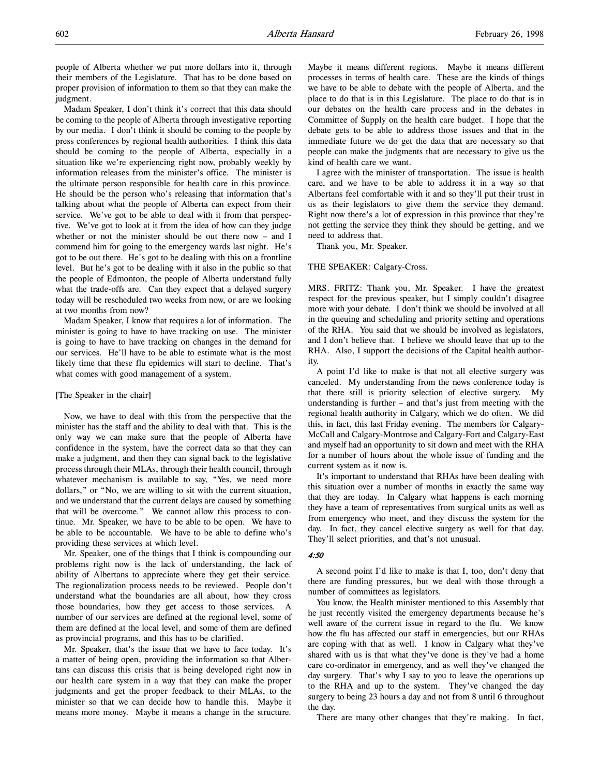people of Alberta whether we put more dollars into it, through their members of the Legislature. That has to be done based on proper provision of information to them so that they can make the judgment.

Madam Speaker, I don't think it's correct that this data should be coming to the people of Alberta through investigative reporting by our media. I don't think it should be coming to the people by press conferences by regional health authorities. I think this data should be coming to the people of Alberta, especially in a situation like we're experiencing right now, probably weekly by information releases from the minister's office. The minister is the ultimate person responsible for health care in this province. He should be the person who's releasing that information that's talking about what the people of Alberta can expect from their service. We've got to be able to deal with it from that perspective. We've got to look at it from the idea of how can they judge whether or not the minister should be out there now – and I commend him for going to the emergency wards last night. He's got to be out there. He's got to be dealing with this on a frontline level. But he's got to be dealing with it also in the public so that the people of Edmonton, the people of Alberta understand fully what the trade-offs are. Can they expect that a delayed surgery today will be rescheduled two weeks from now, or are we looking at two months from now?

Madam Speaker, I know that requires a lot of information. The minister is going to have to have tracking on use. The minister is going to have to have tracking on changes in the demand for our services. He'll have to be able to estimate what is the most likely time that these flu epidemics will start to decline. That's what comes with good management of a system.

#### [The Speaker in the chair]

Now, we have to deal with this from the perspective that the minister has the staff and the ability to deal with that. This is the only way we can make sure that the people of Alberta have confidence in the system, have the correct data so that they can make a judgment, and then they can signal back to the legislative process through their MLAs, through their health council, through whatever mechanism is available to say, "Yes, we need more dollars," or "No, we are willing to sit with the current situation, and we understand that the current delays are caused by something that will be overcome." We cannot allow this process to continue. Mr. Speaker, we have to be able to be open. We have to be able to be accountable. We have to be able to define who's providing these services at which level.

Mr. Speaker, one of the things that I think is compounding our problems right now is the lack of understanding, the lack of ability of Albertans to appreciate where they get their service. The regionalization process needs to be reviewed. People don't understand what the boundaries are all about, how they cross those boundaries, how they get access to those services. A number of our services are defined at the regional level, some of them are defined at the local level, and some of them are defined as provincial programs, and this has to be clarified.

Mr. Speaker, that's the issue that we have to face today. It's a matter of being open, providing the information so that Albertans can discuss this crisis that is being developed right now in our health care system in a way that they can make the proper judgments and get the proper feedback to their MLAs, to the minister so that we can decide how to handle this. Maybe it means more money. Maybe it means a change in the structure.

Maybe it means different regions. Maybe it means different processes in terms of health care. These are the kinds of things we have to be able to debate with the people of Alberta, and the place to do that is in this Legislature. The place to do that is in our debates on the health care process and in the debates in Committee of Supply on the health care budget. I hope that the debate gets to be able to address those issues and that in the immediate future we do get the data that are necessary so that people can make the judgments that are necessary to give us the kind of health care we want.

I agree with the minister of transportation. The issue is health care, and we have to be able to address it in a way so that Albertans feel comfortable with it and so they'll put their trust in us as their legislators to give them the service they demand. Right now there's a lot of expression in this province that they're not getting the service they think they should be getting, and we need to address that.

Thank you, Mr. Speaker.

### THE SPEAKER: Calgary-Cross.

MRS. FRITZ: Thank you, Mr. Speaker. I have the greatest respect for the previous speaker, but I simply couldn't disagree more with your debate. I don't think we should be involved at all in the queuing and scheduling and priority setting and operations of the RHA. You said that we should be involved as legislators, and I don't believe that. I believe we should leave that up to the RHA. Also, I support the decisions of the Capital health authority.

A point I'd like to make is that not all elective surgery was canceled. My understanding from the news conference today is that there still is priority selection of elective surgery. My understanding is further – and that's just from meeting with the regional health authority in Calgary, which we do often. We did this, in fact, this last Friday evening. The members for Calgary-McCall and Calgary-Montrose and Calgary-Fort and Calgary-East and myself had an opportunity to sit down and meet with the RHA for a number of hours about the whole issue of funding and the current system as it now is.

It's important to understand that RHAs have been dealing with this situation over a number of months in exactly the same way that they are today. In Calgary what happens is each morning they have a team of representatives from surgical units as well as from emergency who meet, and they discuss the system for the day. In fact, they cancel elective surgery as well for that day. They'll select priorities, and that's not unusual.

### 4:50

A second point I'd like to make is that I, too, don't deny that there are funding pressures, but we deal with those through a number of committees as legislators.

You know, the Health minister mentioned to this Assembly that he just recently visited the emergency departments because he's well aware of the current issue in regard to the flu. We know how the flu has affected our staff in emergencies, but our RHAs are coping with that as well. I know in Calgary what they've shared with us is that what they've done is they've had a home care co-ordinator in emergency, and as well they've changed the day surgery. That's why I say to you to leave the operations up to the RHA and up to the system. They've changed the day surgery to being 23 hours a day and not from 8 until 6 throughout the day.

There are many other changes that they're making. In fact,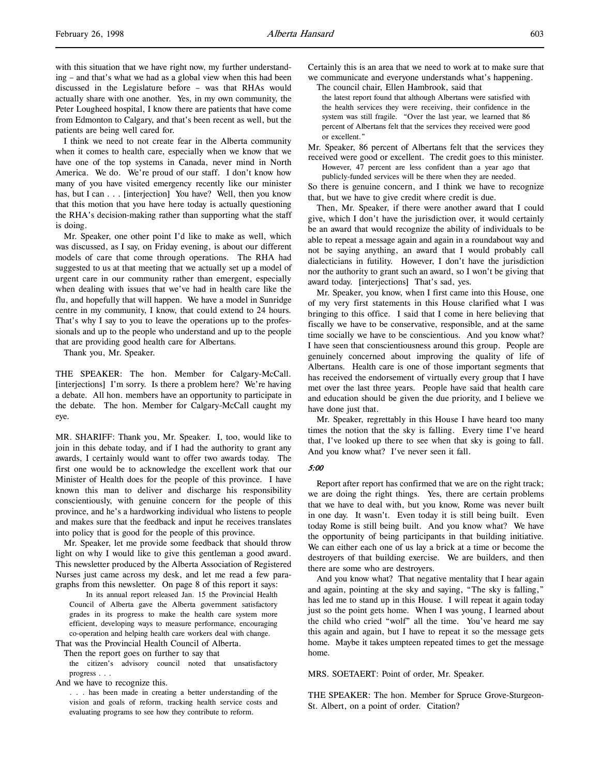with this situation that we have right now, my further understanding – and that's what we had as a global view when this had been discussed in the Legislature before – was that RHAs would actually share with one another. Yes, in my own community, the Peter Lougheed hospital, I know there are patients that have come from Edmonton to Calgary, and that's been recent as well, but the patients are being well cared for.

I think we need to not create fear in the Alberta community when it comes to health care, especially when we know that we have one of the top systems in Canada, never mind in North America. We do. We're proud of our staff. I don't know how many of you have visited emergency recently like our minister has, but I can . . . [interjection] You have? Well, then you know that this motion that you have here today is actually questioning the RHA's decision-making rather than supporting what the staff is doing.

Mr. Speaker, one other point I'd like to make as well, which was discussed, as I say, on Friday evening, is about our different models of care that come through operations. The RHA had suggested to us at that meeting that we actually set up a model of urgent care in our community rather than emergent, especially when dealing with issues that we've had in health care like the flu, and hopefully that will happen. We have a model in Sunridge centre in my community, I know, that could extend to 24 hours. That's why I say to you to leave the operations up to the professionals and up to the people who understand and up to the people that are providing good health care for Albertans.

Thank you, Mr. Speaker.

THE SPEAKER: The hon. Member for Calgary-McCall. [interjections] I'm sorry. Is there a problem here? We're having a debate. All hon. members have an opportunity to participate in the debate. The hon. Member for Calgary-McCall caught my eye.

MR. SHARIFF: Thank you, Mr. Speaker. I, too, would like to join in this debate today, and if I had the authority to grant any awards, I certainly would want to offer two awards today. The first one would be to acknowledge the excellent work that our Minister of Health does for the people of this province. I have known this man to deliver and discharge his responsibility conscientiously, with genuine concern for the people of this province, and he's a hardworking individual who listens to people and makes sure that the feedback and input he receives translates into policy that is good for the people of this province.

Mr. Speaker, let me provide some feedback that should throw light on why I would like to give this gentleman a good award. This newsletter produced by the Alberta Association of Registered Nurses just came across my desk, and let me read a few paragraphs from this newsletter. On page 8 of this report it says:

In its annual report released Jan. 15 the Provincial Health Council of Alberta gave the Alberta government satisfactory grades in its progress to make the health care system more efficient, developing ways to measure performance, encouraging co-operation and helping health care workers deal with change.

That was the Provincial Health Council of Alberta.

Then the report goes on further to say that

the citizen's advisory council noted that unsatisfactory progress . . .

And we have to recognize this.

. . . has been made in creating a better understanding of the vision and goals of reform, tracking health service costs and evaluating programs to see how they contribute to reform.

Certainly this is an area that we need to work at to make sure that we communicate and everyone understands what's happening.

The council chair, Ellen Hambrook, said that

the latest report found that although Albertans were satisfied with the health services they were receiving, their confidence in the system was still fragile. "Over the last year, we learned that 86 percent of Albertans felt that the services they received were good or excellent."

Mr. Speaker, 86 percent of Albertans felt that the services they received were good or excellent. The credit goes to this minister.

However, 47 percent are less confident than a year ago that publicly-funded services will be there when they are needed.

So there is genuine concern, and I think we have to recognize that, but we have to give credit where credit is due.

Then, Mr. Speaker, if there were another award that I could give, which I don't have the jurisdiction over, it would certainly be an award that would recognize the ability of individuals to be able to repeat a message again and again in a roundabout way and not be saying anything, an award that I would probably call dialecticians in futility. However, I don't have the jurisdiction nor the authority to grant such an award, so I won't be giving that award today. [interjections] That's sad, yes.

Mr. Speaker, you know, when I first came into this House, one of my very first statements in this House clarified what I was bringing to this office. I said that I come in here believing that fiscally we have to be conservative, responsible, and at the same time socially we have to be conscientious. And you know what? I have seen that conscientiousness around this group. People are genuinely concerned about improving the quality of life of Albertans. Health care is one of those important segments that has received the endorsement of virtually every group that I have met over the last three years. People have said that health care and education should be given the due priority, and I believe we have done just that.

Mr. Speaker, regrettably in this House I have heard too many times the notion that the sky is falling. Every time I've heard that, I've looked up there to see when that sky is going to fall. And you know what? I've never seen it fall.

### 5:00

Report after report has confirmed that we are on the right track; we are doing the right things. Yes, there are certain problems that we have to deal with, but you know, Rome was never built in one day. It wasn't. Even today it is still being built. Even today Rome is still being built. And you know what? We have the opportunity of being participants in that building initiative. We can either each one of us lay a brick at a time or become the destroyers of that building exercise. We are builders, and then there are some who are destroyers.

And you know what? That negative mentality that I hear again and again, pointing at the sky and saying, "The sky is falling," has led me to stand up in this House. I will repeat it again today just so the point gets home. When I was young, I learned about the child who cried "wolf" all the time. You've heard me say this again and again, but I have to repeat it so the message gets home. Maybe it takes umpteen repeated times to get the message home.

MRS. SOETAERT: Point of order, Mr. Speaker.

THE SPEAKER: The hon. Member for Spruce Grove-Sturgeon-St. Albert, on a point of order. Citation?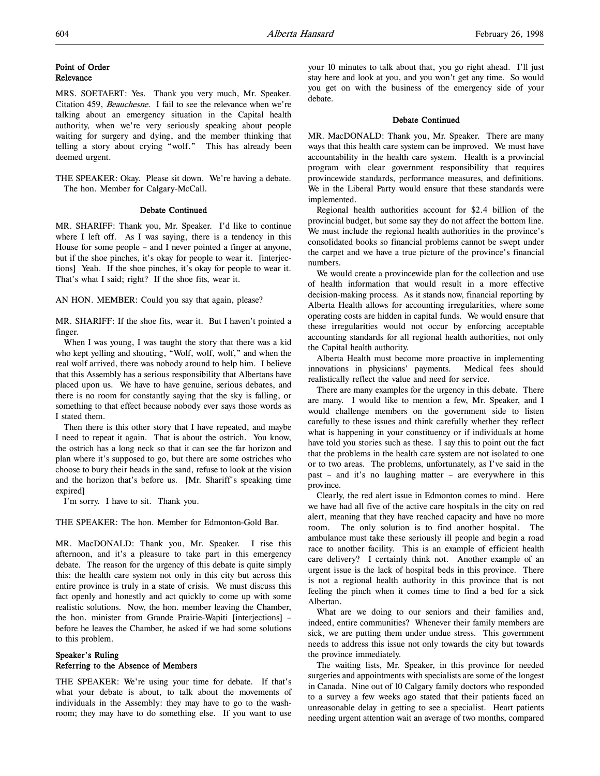### Point of Order Relevance

MRS. SOETAERT: Yes. Thank you very much, Mr. Speaker. Citation 459, Beauchesne. I fail to see the relevance when we're talking about an emergency situation in the Capital health authority, when we're very seriously speaking about people waiting for surgery and dying, and the member thinking that telling a story about crying "wolf." This has already been deemed urgent.

THE SPEAKER: Okay. Please sit down. We're having a debate. The hon. Member for Calgary-McCall.

### Debate Continued

MR. SHARIFF: Thank you, Mr. Speaker. I'd like to continue where I left off. As I was saying, there is a tendency in this House for some people – and I never pointed a finger at anyone, but if the shoe pinches, it's okay for people to wear it. [interjections] Yeah. If the shoe pinches, it's okay for people to wear it. That's what I said; right? If the shoe fits, wear it.

AN HON. MEMBER: Could you say that again, please?

MR. SHARIFF: If the shoe fits, wear it. But I haven't pointed a finger.

When I was young, I was taught the story that there was a kid who kept yelling and shouting, "Wolf, wolf, wolf," and when the real wolf arrived, there was nobody around to help him. I believe that this Assembly has a serious responsibility that Albertans have placed upon us. We have to have genuine, serious debates, and there is no room for constantly saying that the sky is falling, or something to that effect because nobody ever says those words as I stated them.

Then there is this other story that I have repeated, and maybe I need to repeat it again. That is about the ostrich. You know, the ostrich has a long neck so that it can see the far horizon and plan where it's supposed to go, but there are some ostriches who choose to bury their heads in the sand, refuse to look at the vision and the horizon that's before us. [Mr. Shariff's speaking time expired]

I'm sorry. I have to sit. Thank you.

THE SPEAKER: The hon. Member for Edmonton-Gold Bar.

MR. MacDONALD: Thank you, Mr. Speaker. I rise this afternoon, and it's a pleasure to take part in this emergency debate. The reason for the urgency of this debate is quite simply this: the health care system not only in this city but across this entire province is truly in a state of crisis. We must discuss this fact openly and honestly and act quickly to come up with some realistic solutions. Now, the hon. member leaving the Chamber, the hon. minister from Grande Prairie-Wapiti [interjections] – before he leaves the Chamber, he asked if we had some solutions to this problem.

### Speaker's Ruling Referring to the Absence of Members

THE SPEAKER: We're using your time for debate. If that's what your debate is about, to talk about the movements of individuals in the Assembly: they may have to go to the washroom; they may have to do something else. If you want to use

your 10 minutes to talk about that, you go right ahead. I'll just stay here and look at you, and you won't get any time. So would you get on with the business of the emergency side of your debate.

### Debate Continued

MR. MacDONALD: Thank you, Mr. Speaker. There are many ways that this health care system can be improved. We must have accountability in the health care system. Health is a provincial program with clear government responsibility that requires provincewide standards, performance measures, and definitions. We in the Liberal Party would ensure that these standards were implemented.

Regional health authorities account for \$2.4 billion of the provincial budget, but some say they do not affect the bottom line. We must include the regional health authorities in the province's consolidated books so financial problems cannot be swept under the carpet and we have a true picture of the province's financial numbers.

We would create a provincewide plan for the collection and use of health information that would result in a more effective decision-making process. As it stands now, financial reporting by Alberta Health allows for accounting irregularities, where some operating costs are hidden in capital funds. We would ensure that these irregularities would not occur by enforcing acceptable accounting standards for all regional health authorities, not only the Capital health authority.

Alberta Health must become more proactive in implementing innovations in physicians' payments. Medical fees should realistically reflect the value and need for service.

There are many examples for the urgency in this debate. There are many. I would like to mention a few, Mr. Speaker, and I would challenge members on the government side to listen carefully to these issues and think carefully whether they reflect what is happening in your constituency or if individuals at home have told you stories such as these. I say this to point out the fact that the problems in the health care system are not isolated to one or to two areas. The problems, unfortunately, as I've said in the past – and it's no laughing matter – are everywhere in this province.

Clearly, the red alert issue in Edmonton comes to mind. Here we have had all five of the active care hospitals in the city on red alert, meaning that they have reached capacity and have no more room. The only solution is to find another hospital. The ambulance must take these seriously ill people and begin a road race to another facility. This is an example of efficient health care delivery? I certainly think not. Another example of an urgent issue is the lack of hospital beds in this province. There is not a regional health authority in this province that is not feeling the pinch when it comes time to find a bed for a sick Albertan.

What are we doing to our seniors and their families and, indeed, entire communities? Whenever their family members are sick, we are putting them under undue stress. This government needs to address this issue not only towards the city but towards the province immediately.

The waiting lists, Mr. Speaker, in this province for needed surgeries and appointments with specialists are some of the longest in Canada. Nine out of 10 Calgary family doctors who responded to a survey a few weeks ago stated that their patients faced an unreasonable delay in getting to see a specialist. Heart patients needing urgent attention wait an average of two months, compared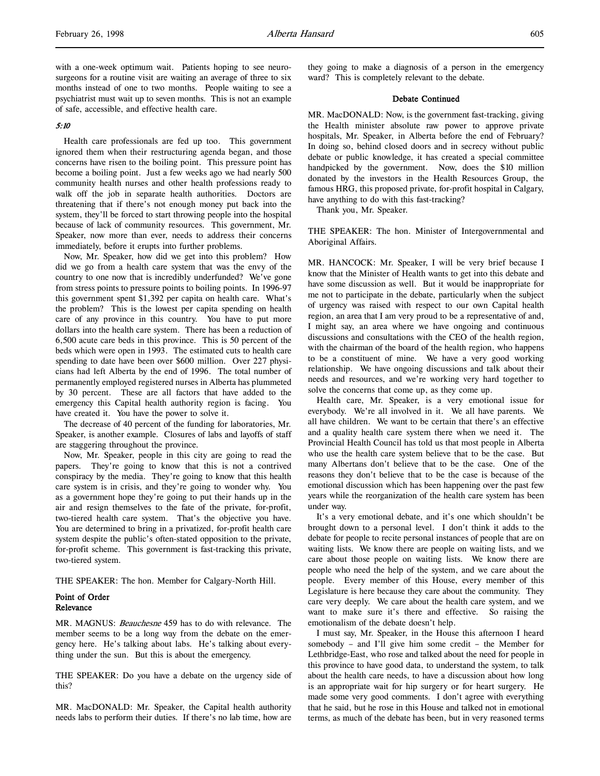with a one-week optimum wait. Patients hoping to see neurosurgeons for a routine visit are waiting an average of three to six months instead of one to two months. People waiting to see a psychiatrist must wait up to seven months. This is not an example of safe, accessible, and effective health care.

### 5:10

Health care professionals are fed up too. This government ignored them when their restructuring agenda began, and those concerns have risen to the boiling point. This pressure point has become a boiling point. Just a few weeks ago we had nearly 500 community health nurses and other health professions ready to walk off the job in separate health authorities. Doctors are threatening that if there's not enough money put back into the system, they'll be forced to start throwing people into the hospital because of lack of community resources. This government, Mr. Speaker, now more than ever, needs to address their concerns immediately, before it erupts into further problems.

Now, Mr. Speaker, how did we get into this problem? How did we go from a health care system that was the envy of the country to one now that is incredibly underfunded? We've gone from stress points to pressure points to boiling points. In 1996-97 this government spent \$1,392 per capita on health care. What's the problem? This is the lowest per capita spending on health care of any province in this country. You have to put more dollars into the health care system. There has been a reduction of 6,500 acute care beds in this province. This is 50 percent of the beds which were open in 1993. The estimated cuts to health care spending to date have been over \$600 million. Over 227 physicians had left Alberta by the end of 1996. The total number of permanently employed registered nurses in Alberta has plummeted by 30 percent. These are all factors that have added to the emergency this Capital health authority region is facing. You have created it. You have the power to solve it.

The decrease of 40 percent of the funding for laboratories, Mr. Speaker, is another example. Closures of labs and layoffs of staff are staggering throughout the province.

Now, Mr. Speaker, people in this city are going to read the papers. They're going to know that this is not a contrived conspiracy by the media. They're going to know that this health care system is in crisis, and they're going to wonder why. You as a government hope they're going to put their hands up in the air and resign themselves to the fate of the private, for-profit, two-tiered health care system. That's the objective you have. You are determined to bring in a privatized, for-profit health care system despite the public's often-stated opposition to the private, for-profit scheme. This government is fast-tracking this private, two-tiered system.

THE SPEAKER: The hon. Member for Calgary-North Hill.

### Point of Order Relevance

MR. MAGNUS: Beauchesne 459 has to do with relevance. The member seems to be a long way from the debate on the emergency here. He's talking about labs. He's talking about everything under the sun. But this is about the emergency.

THE SPEAKER: Do you have a debate on the urgency side of this?

MR. MacDONALD: Mr. Speaker, the Capital health authority needs labs to perform their duties. If there's no lab time, how are they going to make a diagnosis of a person in the emergency ward? This is completely relevant to the debate.

### Debate Continued

MR. MacDONALD: Now, is the government fast-tracking, giving the Health minister absolute raw power to approve private hospitals, Mr. Speaker, in Alberta before the end of February? In doing so, behind closed doors and in secrecy without public debate or public knowledge, it has created a special committee handpicked by the government. Now, does the \$10 million donated by the investors in the Health Resources Group, the famous HRG, this proposed private, for-profit hospital in Calgary, have anything to do with this fast-tracking?

Thank you, Mr. Speaker.

THE SPEAKER: The hon. Minister of Intergovernmental and Aboriginal Affairs.

MR. HANCOCK: Mr. Speaker, I will be very brief because I know that the Minister of Health wants to get into this debate and have some discussion as well. But it would be inappropriate for me not to participate in the debate, particularly when the subject of urgency was raised with respect to our own Capital health region, an area that I am very proud to be a representative of and, I might say, an area where we have ongoing and continuous discussions and consultations with the CEO of the health region, with the chairman of the board of the health region, who happens to be a constituent of mine. We have a very good working relationship. We have ongoing discussions and talk about their needs and resources, and we're working very hard together to solve the concerns that come up, as they come up.

Health care, Mr. Speaker, is a very emotional issue for everybody. We're all involved in it. We all have parents. We all have children. We want to be certain that there's an effective and a quality health care system there when we need it. The Provincial Health Council has told us that most people in Alberta who use the health care system believe that to be the case. But many Albertans don't believe that to be the case. One of the reasons they don't believe that to be the case is because of the emotional discussion which has been happening over the past few years while the reorganization of the health care system has been under way.

It's a very emotional debate, and it's one which shouldn't be brought down to a personal level. I don't think it adds to the debate for people to recite personal instances of people that are on waiting lists. We know there are people on waiting lists, and we care about those people on waiting lists. We know there are people who need the help of the system, and we care about the people. Every member of this House, every member of this Legislature is here because they care about the community. They care very deeply. We care about the health care system, and we want to make sure it's there and effective. So raising the emotionalism of the debate doesn't help.

I must say, Mr. Speaker, in the House this afternoon I heard somebody – and I'll give him some credit – the Member for Lethbridge-East, who rose and talked about the need for people in this province to have good data, to understand the system, to talk about the health care needs, to have a discussion about how long is an appropriate wait for hip surgery or for heart surgery. He made some very good comments. I don't agree with everything that he said, but he rose in this House and talked not in emotional terms, as much of the debate has been, but in very reasoned terms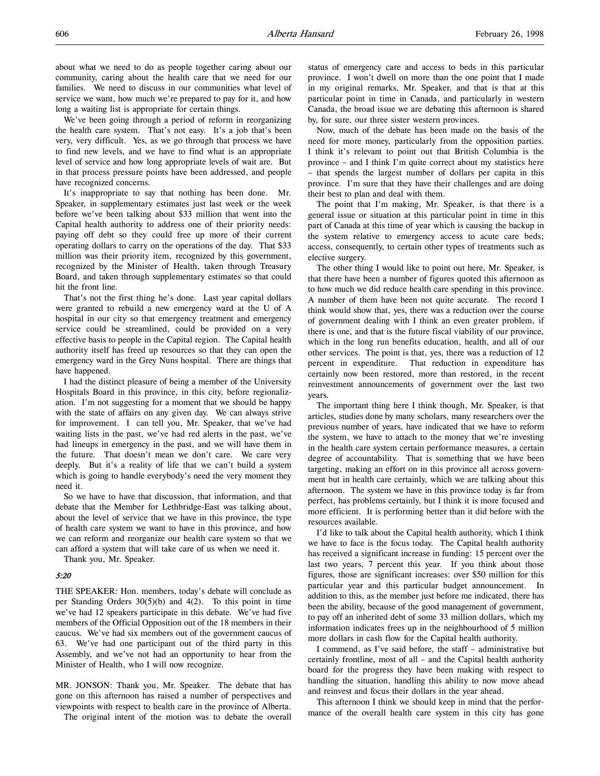We've been going through a period of reform in reorganizing the health care system. That's not easy. It's a job that's been very, very difficult. Yes, as we go through that process we have to find new levels, and we have to find what is an appropriate level of service and how long appropriate levels of wait are. But in that process pressure points have been addressed, and people have recognized concerns.

It's inappropriate to say that nothing has been done. Mr. Speaker, in supplementary estimates just last week or the week before we've been talking about \$33 million that went into the Capital health authority to address one of their priority needs: paying off debt so they could free up more of their current operating dollars to carry on the operations of the day. That \$33 million was their priority item, recognized by this government, recognized by the Minister of Health, taken through Treasury Board, and taken through supplementary estimates so that could hit the front line.

That's not the first thing he's done. Last year capital dollars were granted to rebuild a new emergency ward at the U of A hospital in our city so that emergency treatment and emergency service could be streamlined, could be provided on a very effective basis to people in the Capital region. The Capital health authority itself has freed up resources so that they can open the emergency ward in the Grey Nuns hospital. There are things that have happened.

I had the distinct pleasure of being a member of the University Hospitals Board in this province, in this city, before regionalization. I'm not suggesting for a moment that we should be happy with the state of affairs on any given day. We can always strive for improvement. I can tell you, Mr. Speaker, that we've had waiting lists in the past, we've had red alerts in the past, we've had lineups in emergency in the past, and we will have them in the future. That doesn't mean we don't care. We care very deeply. But it's a reality of life that we can't build a system which is going to handle everybody's need the very moment they need it.

So we have to have that discussion, that information, and that debate that the Member for Lethbridge-East was talking about, about the level of service that we have in this province, the type of health care system we want to have in this province, and how we can reform and reorganize our health care system so that we can afford a system that will take care of us when we need it.

Thank you, Mr. Speaker.

### 5:20

THE SPEAKER: Hon. members, today's debate will conclude as per Standing Orders 30(5)(b) and 4(2). To this point in time we've had 12 speakers participate in this debate. We've had five members of the Official Opposition out of the 18 members in their caucus. We've had six members out of the government caucus of 63. We've had one participant out of the third party in this Assembly, and we've not had an opportunity to hear from the Minister of Health, who I will now recognize.

MR. JONSON: Thank you, Mr. Speaker. The debate that has gone on this afternoon has raised a number of perspectives and viewpoints with respect to health care in the province of Alberta.

The original intent of the motion was to debate the overall

status of emergency care and access to beds in this particular province. I won't dwell on more than the one point that I made in my original remarks, Mr. Speaker, and that is that at this particular point in time in Canada, and particularly in western Canada, the broad issue we are debating this afternoon is shared by, for sure, our three sister western provinces.

Now, much of the debate has been made on the basis of the need for more money, particularly from the opposition parties. I think it's relevant to point out that British Columbia is the province – and I think I'm quite correct about my statistics here – that spends the largest number of dollars per capita in this province. I'm sure that they have their challenges and are doing their best to plan and deal with them.

The point that I'm making, Mr. Speaker, is that there is a general issue or situation at this particular point in time in this part of Canada at this time of year which is causing the backup in the system relative to emergency access to acute care beds; access, consequently, to certain other types of treatments such as elective surgery.

The other thing I would like to point out here, Mr. Speaker, is that there have been a number of figures quoted this afternoon as to how much we did reduce health care spending in this province. A number of them have been not quite accurate. The record I think would show that, yes, there was a reduction over the course of government dealing with I think an even greater problem, if there is one, and that is the future fiscal viability of our province, which in the long run benefits education, health, and all of our other services. The point is that, yes, there was a reduction of 12 percent in expenditure. That reduction in expenditure has certainly now been restored, more than restored, in the recent reinvestment announcements of government over the last two years.

The important thing here I think though, Mr. Speaker, is that articles, studies done by many scholars, many researchers over the previous number of years, have indicated that we have to reform the system, we have to attach to the money that we're investing in the health care system certain performance measures, a certain degree of accountability. That is something that we have been targeting, making an effort on in this province all across government but in health care certainly, which we are talking about this afternoon. The system we have in this province today is far from perfect, has problems certainly, but I think it is more focused and more efficient. It is performing better than it did before with the resources available.

I'd like to talk about the Capital health authority, which I think we have to face is the focus today. The Capital health authority has received a significant increase in funding: 15 percent over the last two years, 7 percent this year. If you think about those figures, those are significant increases: over \$50 million for this particular year and this particular budget announcement. In addition to this, as the member just before me indicated, there has been the ability, because of the good management of government, to pay off an inherited debt of some 33 million dollars, which my information indicates frees up in the neighbourhood of 5 million more dollars in cash flow for the Capital health authority.

I commend, as I've said before, the staff – administrative but certainly frontline, most of all – and the Capital health authority board for the progress they have been making with respect to handling the situation, handling this ability to now move ahead and reinvest and focus their dollars in the year ahead.

This afternoon I think we should keep in mind that the performance of the overall health care system in this city has gone